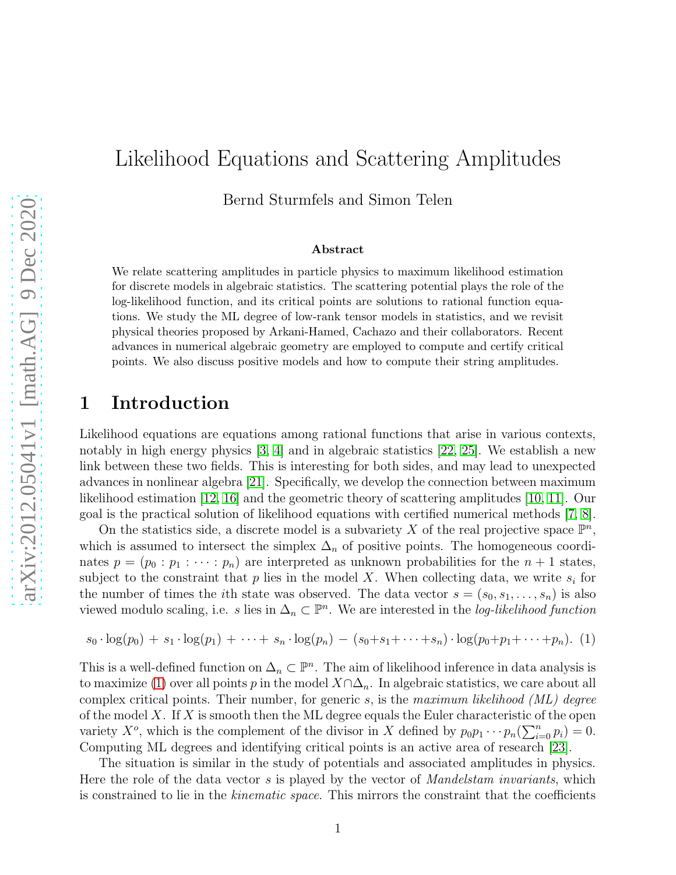# Likelihood Equations and Scattering Amplitudes

Bernd Sturmfels and Simon Telen

#### Abstract

We relate scattering amplitudes in particle physics to maximum likelihood estimation for discrete models in algebraic statistics. The scattering potential plays the role of the log-likelihood function, and its critical points are solutions to rational function equations. We study the ML degree of low-rank tensor models in statistics, and we revisit physical theories proposed by Arkani-Hamed, Cachazo and their collaborators. Recent advances in numerical algebraic geometry are employed to compute and certify critical points. We also discuss positive models and how to compute their string amplitudes.

## 1 Introduction

Likelihood equations are equations among rational functions that arise in various contexts, notably in high energy physics [\[3,](#page-16-0) [4\]](#page-16-1) and in algebraic statistics [\[22,](#page-17-0) [25\]](#page-17-1). We establish a new link between these two fields. This is interesting for both sides, and may lead to unexpected advances in nonlinear algebra [\[21\]](#page-17-2). Specifically, we develop the connection between maximum likelihood estimation [\[12,](#page-17-3) [16\]](#page-17-4) and the geometric theory of scattering amplitudes [\[10,](#page-16-2) [11\]](#page-17-5). Our goal is the practical solution of likelihood equations with certified numerical methods [\[7,](#page-16-3) [8\]](#page-16-4).

On the statistics side, a discrete model is a subvariety X of the real projective space  $\mathbb{P}^n$ , which is assumed to intersect the simplex  $\Delta_n$  of positive points. The homogeneous coordinates  $p = (p_0 : p_1 : \cdots : p_n)$  are interpreted as unknown probabilities for the  $n + 1$  states, subject to the constraint that  $p$  lies in the model  $X$ . When collecting data, we write  $s_i$  for the number of times the *i*th state was observed. The data vector  $s = (s_0, s_1, \ldots, s_n)$  is also viewed modulo scaling, i.e. s lies in  $\Delta_n \subset \mathbb{P}^n$ . We are interested in the *log-likelihood function* 

<span id="page-0-0"></span>
$$
s_0 \cdot \log(p_0) + s_1 \cdot \log(p_1) + \cdots + s_n \cdot \log(p_n) - (s_0 + s_1 + \cdots + s_n) \cdot \log(p_0 + p_1 + \cdots + p_n). \tag{1}
$$

This is a well-defined function on  $\Delta_n \subset \mathbb{P}^n$ . The aim of likelihood inference in data analysis is to maximize [\(1\)](#page-0-0) over all points p in the model  $X \cap \Delta_n$ . In algebraic statistics, we care about all complex critical points. Their number, for generic s, is the maximum likelihood  $(ML)$  degree of the model X. If X is smooth then the ML degree equals the Euler characteristic of the open variety  $X^o$ , which is the complement of the divisor in X defined by  $p_0 p_1 \cdots p_n (\sum_{i=0}^n p_i) = 0$ . Computing ML degrees and identifying critical points is an active area of research [\[23\]](#page-17-6).

The situation is similar in the study of potentials and associated amplitudes in physics. Here the role of the data vector s is played by the vector of *Mandelstam invariants*, which is constrained to lie in the *kinematic space*. This mirrors the constraint that the coefficients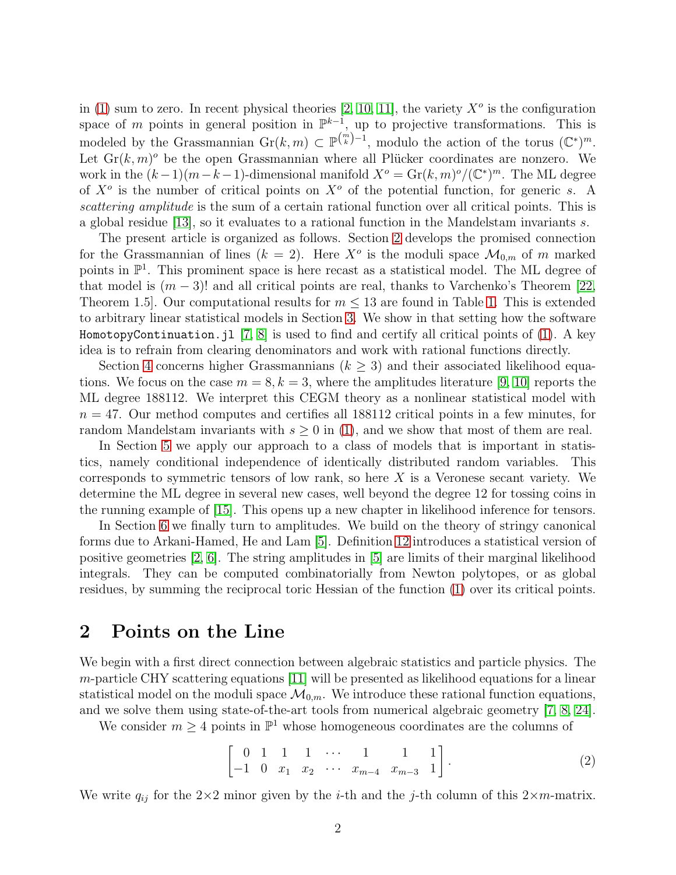in [\(1\)](#page-0-0) sum to zero. In recent physical theories [\[2,](#page-16-5) [10,](#page-16-2) [11\]](#page-17-5), the variety  $X^o$  is the configuration space of m points in general position in  $\mathbb{P}^{k-1}$ , up to projective transformations. This is modeled by the Grassmannian  $\mathrm{Gr}(k,m) \subset \mathbb{P}^{\binom{m}{k}-1}$ , modulo the action of the torus  $(\mathbb{C}^*)^m$ . Let  $\text{Gr}(k,m)^\circ$  be the open Grassmannian where all Plücker coordinates are nonzero. We work in the  $(k-1)(m-k-1)$ -dimensional manifold  $X^{\circ} = \text{Gr}(k,m)^{\circ}/(\mathbb{C}^{*})^{m}$ . The ML degree of  $X^o$  is the number of critical points on  $X^o$  of the potential function, for generic s. A scattering amplitude is the sum of a certain rational function over all critical points. This is a global residue [\[13\]](#page-17-7), so it evaluates to a rational function in the Mandelstam invariants s.

The present article is organized as follows. Section [2](#page-1-0) develops the promised connection for the Grassmannian of lines  $(k = 2)$ . Here  $X^{\circ}$  is the moduli space  $\mathcal{M}_{0,m}$  of m marked points in  $\mathbb{P}^1$ . This prominent space is here recast as a statistical model. The ML degree of that model is  $(m-3)!$  and all critical points are real, thanks to Varchenko's Theorem [\[22,](#page-17-0) Theorem [1.](#page-4-0)5. Our computational results for  $m \leq 13$  are found in Table 1. This is extended to arbitrary linear statistical models in Section [3.](#page-4-1) We show in that setting how the software HomotopyContinuation.jl [\[7,](#page-16-3) [8\]](#page-16-4) is used to find and certify all critical points of [\(1\)](#page-0-0). A key idea is to refrain from clearing denominators and work with rational functions directly.

Section [4](#page-6-0) concerns higher Grassmannians ( $k \geq 3$ ) and their associated likelihood equations. We focus on the case  $m = 8, k = 3$ , where the amplitudes literature [\[9,](#page-16-6) [10\]](#page-16-2) reports the ML degree 188112. We interpret this CEGM theory as a nonlinear statistical model with  $n = 47$ . Our method computes and certifies all 188112 critical points in a few minutes, for random Mandelstam invariants with  $s \geq 0$  in [\(1\)](#page-0-0), and we show that most of them are real.

In Section [5](#page-9-0) we apply our approach to a class of models that is important in statistics, namely conditional independence of identically distributed random variables. This corresponds to symmetric tensors of low rank, so here  $X$  is a Veronese secant variety. We determine the ML degree in several new cases, well beyond the degree 12 for tossing coins in the running example of [\[15\]](#page-17-8). This opens up a new chapter in likelihood inference for tensors.

In Section [6](#page-12-0) we finally turn to amplitudes. We build on the theory of stringy canonical forms due to Arkani-Hamed, He and Lam [\[5\]](#page-16-7). Definition [12](#page-12-1) introduces a statistical version of positive geometries [\[2,](#page-16-5) [6\]](#page-16-8). The string amplitudes in [\[5\]](#page-16-7) are limits of their marginal likelihood integrals. They can be computed combinatorially from Newton polytopes, or as global residues, by summing the reciprocal toric Hessian of the function [\(1\)](#page-0-0) over its critical points.

### <span id="page-1-0"></span>2 Points on the Line

We begin with a first direct connection between algebraic statistics and particle physics. The  $m$ -particle CHY scattering equations [\[11\]](#page-17-5) will be presented as likelihood equations for a linear statistical model on the moduli space  $\mathcal{M}_{0,m}$ . We introduce these rational function equations, and we solve them using state-of-the-art tools from numerical algebraic geometry [\[7,](#page-16-3) [8,](#page-16-4) [24\]](#page-17-9).

We consider  $m \geq 4$  points in  $\mathbb{P}^1$  whose homogeneous coordinates are the columns of

<span id="page-1-1"></span>
$$
\begin{bmatrix} 0 & 1 & 1 & 1 & \cdots & 1 & 1 & 1 \\ -1 & 0 & x_1 & x_2 & \cdots & x_{m-4} & x_{m-3} & 1 \end{bmatrix}.
$$
 (2)

We write  $q_{ij}$  for the 2×2 minor given by the *i*-th and the *j*-th column of this 2×m-matrix.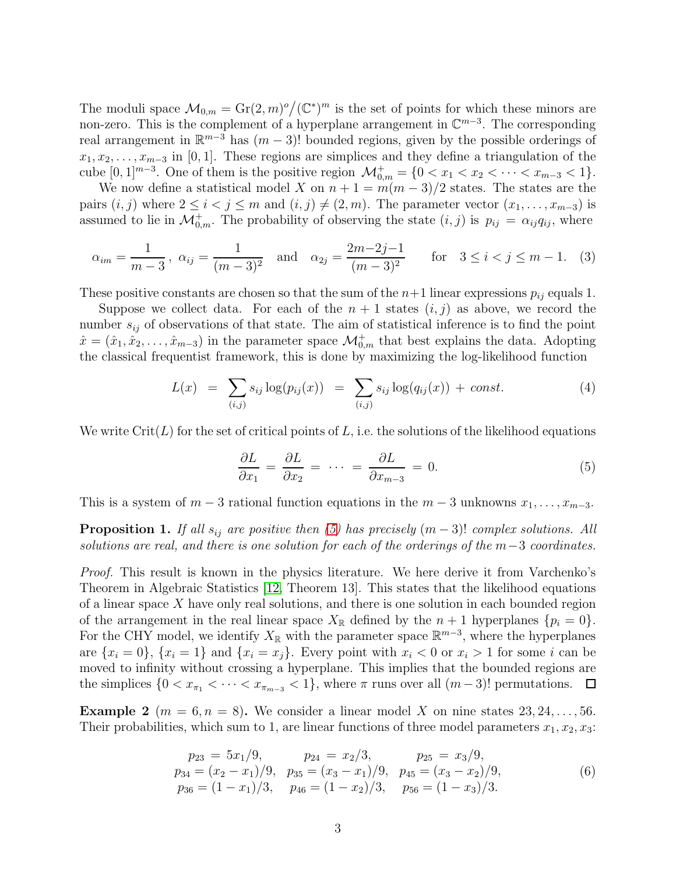The moduli space  $\mathcal{M}_{0,m} = \text{Gr}(2,m)^o / (\mathbb{C}^*)^m$  is the set of points for which these minors are non-zero. This is the complement of a hyperplane arrangement in  $\mathbb{C}^{m-3}$ . The corresponding real arrangement in  $\mathbb{R}^{m-3}$  has  $(m-3)!$  bounded regions, given by the possible orderings of  $x_1, x_2, \ldots, x_{m-3}$  in [0, 1]. These regions are simplices and they define a triangulation of the cube  $[0,1]^{m-3}$ . One of them is the positive region  $\mathcal{M}_{0,m}^+ = \{0 < x_1 < x_2 < \cdots < x_{m-3} < 1\}$ .

We now define a statistical model X on  $n + 1 = m(m - 3)/2$  states. The states are the pairs  $(i, j)$  where  $2 \le i < j \le m$  and  $(i, j) \ne (2, m)$ . The parameter vector  $(x_1, \ldots, x_{m-3})$  is assumed to lie in  $\mathcal{M}_{0,m}^+$ . The probability of observing the state  $(i, j)$  is  $p_{ij} = \alpha_{ij} q_{ij}$ , where

$$
\alpha_{im} = \frac{1}{m-3}
$$
,  $\alpha_{ij} = \frac{1}{(m-3)^2}$  and  $\alpha_{2j} = \frac{2m-2j-1}{(m-3)^2}$  for  $3 \le i < j \le m-1$ . (3)

These positive constants are chosen so that the sum of the  $n+1$  linear expressions  $p_{ij}$  equals 1.

Suppose we collect data. For each of the  $n + 1$  states  $(i, j)$  as above, we record the number  $s_{ij}$  of observations of that state. The aim of statistical inference is to find the point  $\hat{x} = (\hat{x}_1, \hat{x}_2, \dots, \hat{x}_{m-3})$  in the parameter space  $\mathcal{M}_{0,m}^+$  that best explains the data. Adopting the classical frequentist framework, this is done by maximizing the log-likelihood function

<span id="page-2-1"></span>
$$
L(x) = \sum_{(i,j)} s_{ij} \log(p_{ij}(x)) = \sum_{(i,j)} s_{ij} \log(q_{ij}(x)) + const.
$$
 (4)

We write  $\mathrm{Crit}(L)$  for the set of critical points of L, i.e. the solutions of the likelihood equations

<span id="page-2-0"></span>
$$
\frac{\partial L}{\partial x_1} = \frac{\partial L}{\partial x_2} = \cdots = \frac{\partial L}{\partial x_{m-3}} = 0.
$$
 (5)

This is a system of  $m-3$  rational function equations in the  $m-3$  unknowns  $x_1, \ldots, x_{m-3}$ .

<span id="page-2-2"></span>**Proposition 1.** If all  $s_{ij}$  are positive then [\(5\)](#page-2-0) has precisely  $(m-3)!$  complex solutions. All solutions are real, and there is one solution for each of the orderings of the  $m-3$  coordinates.

Proof. This result is known in the physics literature. We here derive it from Varchenko's Theorem in Algebraic Statistics [\[12,](#page-17-3) Theorem 13]. This states that the likelihood equations of a linear space  $X$  have only real solutions, and there is one solution in each bounded region of the arrangement in the real linear space  $X_{\mathbb{R}}$  defined by the  $n + 1$  hyperplanes  $\{p_i = 0\}$ . For the CHY model, we identify  $X_{\mathbb{R}}$  with the parameter space  $\mathbb{R}^{m-3}$ , where the hyperplanes are  $\{x_i = 0\}$ ,  $\{x_i = 1\}$  and  $\{x_i = x_j\}$ . Every point with  $x_i < 0$  or  $x_i > 1$  for some i can be moved to infinity without crossing a hyperplane. This implies that the bounded regions are the simplices  $\{0 < x_{\pi_1} < \cdots < x_{\pi_{m-3}} < 1\}$ , where  $\pi$  runs over all  $(m-3)!$  permutations.  $\Box$ 

<span id="page-2-3"></span>**Example 2**  $(m = 6, n = 8)$ . We consider a linear model X on nine states 23, 24, ..., 56. Their probabilities, which sum to 1, are linear functions of three model parameters  $x_1, x_2, x_3$ :

$$
p_{23} = 5x_1/9, \t p_{24} = x_2/3, \t p_{25} = x_3/9,p_{34} = (x_2 - x_1)/9, \t p_{35} = (x_3 - x_1)/9, \t p_{45} = (x_3 - x_2)/9,p_{36} = (1 - x_1)/3, \t p_{46} = (1 - x_2)/3, \t p_{56} = (1 - x_3)/3.
$$
\n(6)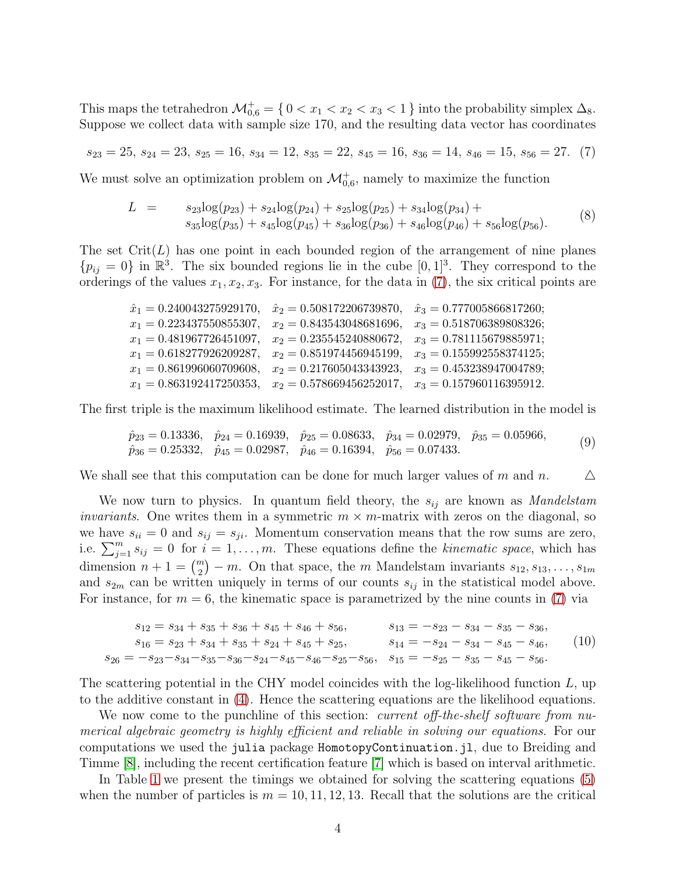This maps the tetrahedron  $\mathcal{M}^+_{0,6} = \{0 < x_1 < x_2 < x_3 < 1\}$  into the probability simplex  $\Delta_8$ . Suppose we collect data with sample size 170, and the resulting data vector has coordinates

<span id="page-3-0"></span>
$$
s_{23} = 25, s_{24} = 23, s_{25} = 16, s_{34} = 12, s_{35} = 22, s_{45} = 16, s_{36} = 14, s_{46} = 15, s_{56} = 27. (7)
$$

We must solve an optimization problem on  $\mathcal{M}_{0,6}^+$ , namely to maximize the function

<span id="page-3-2"></span>
$$
L = s_{23}\log(p_{23}) + s_{24}\log(p_{24}) + s_{25}\log(p_{25}) + s_{34}\log(p_{34}) +s_{35}\log(p_{35}) + s_{45}\log(p_{45}) + s_{36}\log(p_{36}) + s_{46}\log(p_{46}) + s_{56}\log(p_{56}).
$$
\n(8)

The set  $Crit(L)$  has one point in each bounded region of the arrangement of nine planes  $\{p_{ij} = 0\}$  in  $\mathbb{R}^3$ . The six bounded regions lie in the cube  $[0, 1]^3$ . They correspond to the orderings of the values  $x_1, x_2, x_3$ . For instance, for the data in [\(7\)](#page-3-0), the six critical points are

| $\hat{x}_1 = 0.240043275929170,$ | $\hat{x}_2 = 0.508172206739870,$ | $\hat{x}_3 = 0.777005866817260;$ |
|----------------------------------|----------------------------------|----------------------------------|
| $x_1 = 0.223437550855307$        | $x_2 = 0.843543048681696,$       | $x_3 = 0.518706389808326;$       |
| $x_1 = 0.481967726451097.$       | $x_2 = 0.235545240880672,$       | $x_3 = 0.781115679885971$ ;      |
| $x_1 = 0.618277926209287$        | $x_2 = 0.851974456945199$        | $x_3 = 0.155992558374125$ ;      |
| $x_1 = 0.861996060709608$        | $x_2 = 0.217605043343923$        | $x_3 = 0.453238947004789;$       |
| $x_1 = 0.863192417250353$        | $x_2 = 0.578669456252017$ ,      | $x_3 = 0.157960116395912.$       |

The first triple is the maximum likelihood estimate. The learned distribution in the model is

<span id="page-3-3"></span>
$$
\begin{aligned}\n\hat{p}_{23} &= 0.13336, & \hat{p}_{24} &= 0.16939, & \hat{p}_{25} &= 0.08633, & \hat{p}_{34} &= 0.02979, & \hat{p}_{35} &= 0.05966, \\
\hat{p}_{36} &= 0.25332, & \hat{p}_{45} &= 0.02987, & \hat{p}_{46} &= 0.16394, & \hat{p}_{56} &= 0.07433.\n\end{aligned}\n\tag{9}
$$

We shall see that this computation can be done for much larger values of m and n.  $\Delta$ 

We now turn to physics. In quantum field theory, the  $s_{ij}$  are known as *Mandelstam invariants*. One writes them in a symmetric  $m \times m$ -matrix with zeros on the diagonal, so we have  $s_{ii} = 0$  and  $s_{ij} = s_{ji}$ . Momentum conservation means that the row sums are zero, i.e.  $\sum_{j=1}^{m} s_{ij} = 0$  for  $i = 1, \ldots, m$ . These equations define the kinematic space, which has dimension  $n + 1 = {m \choose 2} - m$ . On that space, the m Mandelstam invariants  $s_{12}, s_{13}, \ldots, s_{1m}$ and  $s_{2m}$  can be written uniquely in terms of our counts  $s_{ij}$  in the statistical model above. For instance, for  $m = 6$ , the kinematic space is parametrized by the nine counts in [\(7\)](#page-3-0) via

<span id="page-3-1"></span>
$$
s_{12} = s_{34} + s_{35} + s_{36} + s_{45} + s_{46} + s_{56},
$$

$$
s_{13} = -s_{23} - s_{34} - s_{35} - s_{36},
$$

$$
s_{16} = s_{23} + s_{34} + s_{35} + s_{24} + s_{45} + s_{25},
$$

$$
s_{14} = -s_{24} - s_{34} - s_{45} - s_{46},
$$

$$
s_{26} = -s_{23} - s_{34} - s_{35} - s_{36} - s_{24} - s_{45} - s_{46} - s_{25} - s_{56},
$$

$$
s_{15} = -s_{25} - s_{35} - s_{45} - s_{56}.
$$

$$
(10)
$$

The scattering potential in the CHY model coincides with the log-likelihood function  $L$ , up to the additive constant in [\(4\)](#page-2-1). Hence the scattering equations are the likelihood equations.

We now come to the punchline of this section: *current off-the-shelf software from nu*merical algebraic geometry is highly efficient and reliable in solving our equations. For our computations we used the julia package HomotopyContinuation.jl, due to Breiding and Timme [\[8\]](#page-16-4), including the recent certification feature [\[7\]](#page-16-3) which is based on interval arithmetic.

In Table [1](#page-4-0) we present the timings we obtained for solving the scattering equations [\(5\)](#page-2-0) when the number of particles is  $m = 10, 11, 12, 13$ . Recall that the solutions are the critical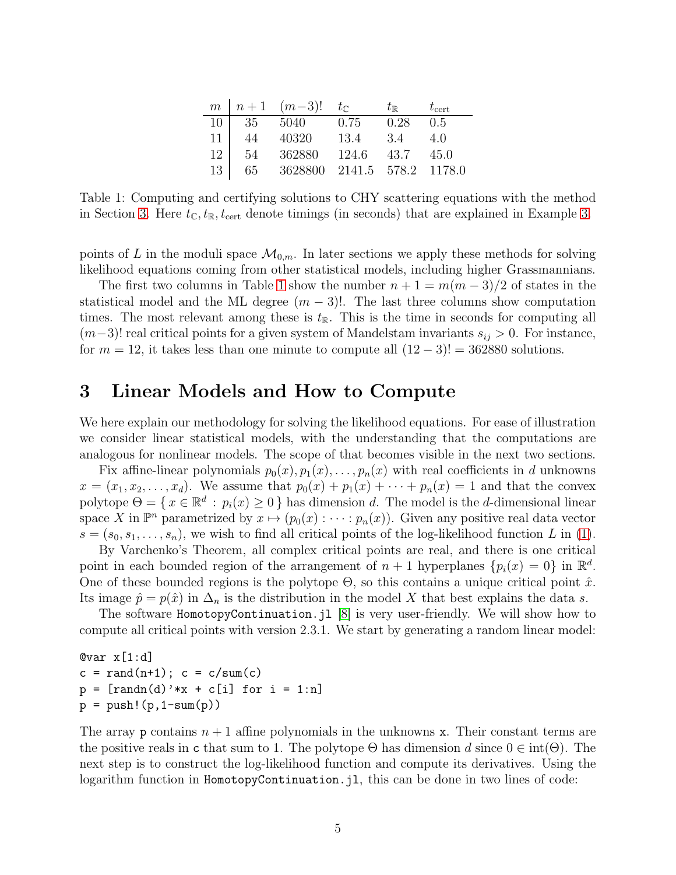|                 |         | $m \mid n+1 \quad (m-3)! \quad t_{\mathbb{C}}$ |       | $t_\mathbb{R}$ | $t_{\rm cert}$ |
|-----------------|---------|------------------------------------------------|-------|----------------|----------------|
| 10              | 35 5040 |                                                | 0.75  | 0.28           | 0.5            |
| 11 <sup>1</sup> | 44      | 40320                                          | 13.4  | 3.4            | 4.0            |
| 12              | 54      | 362880                                         | 124.6 | 43.7           | -45.0          |
| $13-1$          | 65      | 3628800 2141.5 578.2 1178.0                    |       |                |                |

<span id="page-4-0"></span>Table 1: Computing and certifying solutions to CHY scattering equations with the method in Section [3.](#page-6-1) Here  $t_{\mathbb{C}}, t_{\mathbb{R}}, t_{\text{cert}}$  denote timings (in seconds) that are explained in Example 3.

points of L in the moduli space  $\mathcal{M}_{0,m}$ . In later sections we apply these methods for solving likelihood equations coming from other statistical models, including higher Grassmannians.

The first two columns in Table [1](#page-4-0) show the number  $n + 1 = m(m - 3)/2$  of states in the statistical model and the ML degree  $(m-3)!$ . The last three columns show computation times. The most relevant among these is  $t_{\mathbb{R}}$ . This is the time in seconds for computing all  $(m-3)!$  real critical points for a given system of Mandelstam invariants  $s_{ij} > 0$ . For instance, for  $m = 12$ , it takes less than one minute to compute all  $(12 - 3)! = 362880$  solutions.

### <span id="page-4-1"></span>3 Linear Models and How to Compute

We here explain our methodology for solving the likelihood equations. For ease of illustration we consider linear statistical models, with the understanding that the computations are analogous for nonlinear models. The scope of that becomes visible in the next two sections.

Fix affine-linear polynomials  $p_0(x), p_1(x), \ldots, p_n(x)$  with real coefficients in d unknowns  $x = (x_1, x_2, \ldots, x_d)$ . We assume that  $p_0(x) + p_1(x) + \cdots + p_n(x) = 1$  and that the convex polytope  $\Theta = \{x \in \mathbb{R}^d : p_i(x) \ge 0\}$  has dimension d. The model is the d-dimensional linear space X in  $\mathbb{P}^n$  parametrized by  $x \mapsto (p_0(x) : \cdots : p_n(x))$ . Given any positive real data vector  $s = (s_0, s_1, \ldots, s_n)$ , we wish to find all critical points of the log-likelihood function L in [\(1\)](#page-0-0).

By Varchenko's Theorem, all complex critical points are real, and there is one critical point in each bounded region of the arrangement of  $n + 1$  hyperplanes  $\{p_i(x) = 0\}$  in  $\mathbb{R}^d$ . One of these bounded regions is the polytope  $\Theta$ , so this contains a unique critical point  $\hat{x}$ . Its image  $\hat{p} = p(\hat{x})$  in  $\Delta_n$  is the distribution in the model X that best explains the data s.

The software HomotopyContinuation.jl [\[8\]](#page-16-4) is very user-friendly. We will show how to compute all critical points with version 2.3.1. We start by generating a random linear model:

 $Qvar x[1:d]$  $c = \text{rand}(n+1)$ ;  $c = c/\text{sum}(c)$  $p = [randn(d) *x + c[i] for i = 1:n]$  $p = push!(p, 1-sum(p))$ 

The array p contains  $n + 1$  affine polynomials in the unknowns x. Their constant terms are the positive reals in c that sum to 1. The polytope  $\Theta$  has dimension d since  $0 \in \text{int}(\Theta)$ . The next step is to construct the log-likelihood function and compute its derivatives. Using the logarithm function in HomotopyContinuation.jl, this can be done in two lines of code: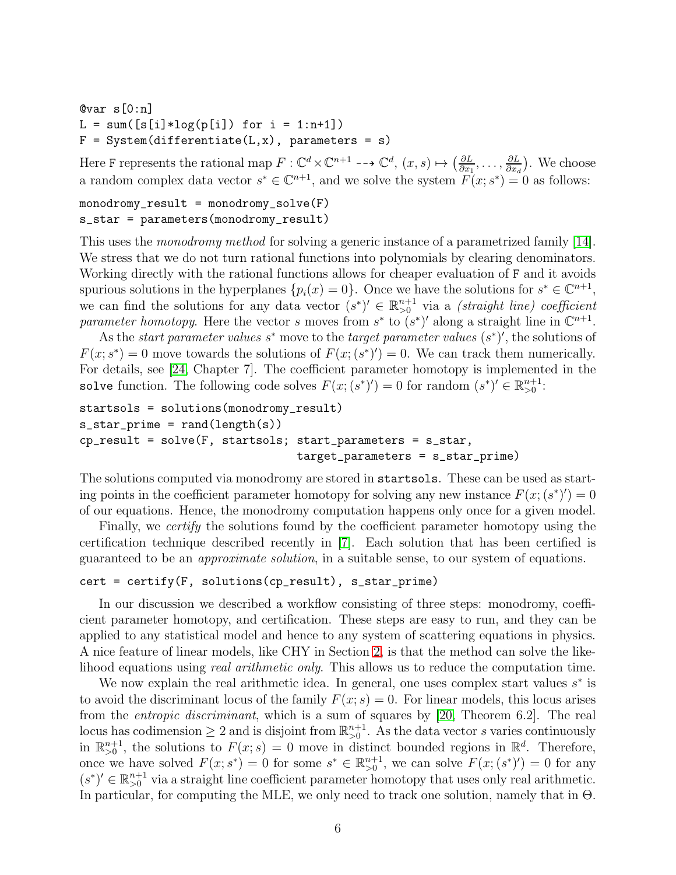```
@var s[0:n]
L = sum([s[i]*log(p[i]) for i = 1:n+1])F = System(differentiate(L, x), parameters = s)
```
Here F represents the rational map  $F: \mathbb{C}^d \times \mathbb{C}^{n+1} \dashrightarrow \mathbb{C}^d$ ,  $(x, s) \mapsto (\frac{\partial L}{\partial x, s})$  $\frac{\partial L}{\partial x_1},\ldots,\frac{\partial L}{\partial x_a}$  $\frac{\partial L}{\partial x_d}$ ). We choose a random complex data vector  $s^* \in \mathbb{C}^{n+1}$ , and we solve the system  $F(x; s^*) = 0$  as follows:

```
monodromy\_result = monodromy\_solve(F)s_star = parameters(monodromy_result)
```
This uses the *monodromy method* for solving a generic instance of a parametrized family [\[14\]](#page-17-10). We stress that we do not turn rational functions into polynomials by clearing denominators. Working directly with the rational functions allows for cheaper evaluation of F and it avoids spurious solutions in the hyperplanes  $\{p_i(x) = 0\}$ . Once we have the solutions for  $s^* \in \mathbb{C}^{n+1}$ , we can find the solutions for any data vector  $(s^*)' \in \mathbb{R}_{>0}^{n+1}$  via a *(straight line) coefficient* parameter homotopy. Here the vector s moves from  $s^*$  to  $(s^*)'$  along a straight line in  $\mathbb{C}^{n+1}$ .

As the *start parameter values*  $s^*$  move to the *target parameter values*  $(s^*)'$ , the solutions of  $F(x; s^*) = 0$  move towards the solutions of  $F(x; (s^*)') = 0$ . We can track them numerically. For details, see [\[24,](#page-17-9) Chapter 7]. The coefficient parameter homotopy is implemented in the solve function. The following code solves  $F(x;(s^*)') = 0$  for random  $(s^*)' \in \mathbb{R}_{>0}^{n+1}$ :

```
startsols = solutions(monodromy_result)
s_ star_prime = rand(length(s))cp\_result = solve(F, startsols; start\_parameters = s\_star,target_parameters = s_star_prime)
```
The solutions computed via monodromy are stored in startsols. These can be used as starting points in the coefficient parameter homotopy for solving any new instance  $F(x; (s^*)') = 0$ of our equations. Hence, the monodromy computation happens only once for a given model.

Finally, we *certify* the solutions found by the coefficient parameter homotopy using the certification technique described recently in [\[7\]](#page-16-3). Each solution that has been certified is guaranteed to be an approximate solution, in a suitable sense, to our system of equations.

```
cert = certify(F, solutions(cp\_result), s\_star\_prime)
```
In our discussion we described a workflow consisting of three steps: monodromy, coefficient parameter homotopy, and certification. These steps are easy to run, and they can be applied to any statistical model and hence to any system of scattering equations in physics. A nice feature of linear models, like CHY in Section [2,](#page-1-0) is that the method can solve the likelihood equations using *real arithmetic only*. This allows us to reduce the computation time.

We now explain the real arithmetic idea. In general, one uses complex start values  $s^*$  is to avoid the discriminant locus of the family  $F(x; s) = 0$ . For linear models, this locus arises from the entropic discriminant, which is a sum of squares by [\[20,](#page-17-11) Theorem 6.2]. The real locus has codimension  $\geq 2$  and is disjoint from  $\mathbb{R}^{n+1}_{>0}$ . As the data vector s varies continuously in  $\mathbb{R}^{n+1}_{>0}$ , the solutions to  $F(x; s) = 0$  move in distinct bounded regions in  $\mathbb{R}^d$ . Therefore, once we have solved  $F(x; s^*) = 0$  for some  $s^* \in \mathbb{R}^{n+1}_{>0}$ , we can solve  $F(x; (s^*)') = 0$  for any  $(s^*)' \in \mathbb{R}_{>0}^{n+1}$  via a straight line coefficient parameter homotopy that uses only real arithmetic. In particular, for computing the MLE, we only need to track one solution, namely that in  $\Theta$ .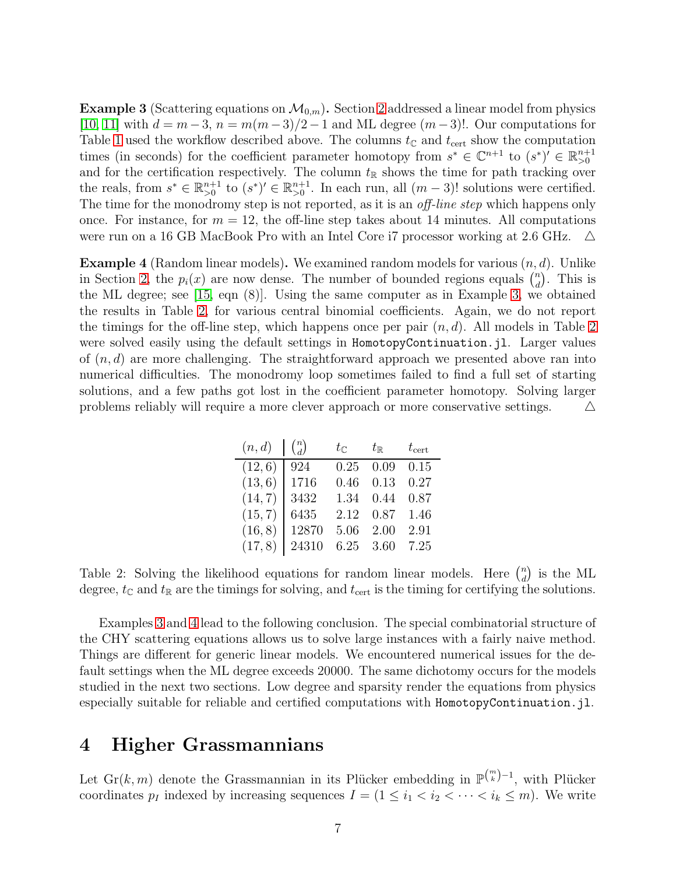<span id="page-6-1"></span>**Example 3** (Scattering equations on  $\mathcal{M}_{0,m}$ ). Section [2](#page-1-0) addressed a linear model from physics [\[10,](#page-16-2) [11\]](#page-17-5) with  $d = m-3$ ,  $n = m(m-3)/2-1$  and ML degree  $(m-3)!$ . Our computations for Table [1](#page-4-0) used the workflow described above. The columns  $t_{\mathbb{C}}$  and  $t_{\text{cert}}$  show the computation times (in seconds) for the coefficient parameter homotopy from  $s^* \in \mathbb{C}^{n+1}$  to  $(s^*)' \in \mathbb{R}_{>0}^{n+1}$ and for the certification respectively. The column  $t_{\mathbb{R}}$  shows the time for path tracking over the reals, from  $s^* \in \mathbb{R}_{>0}^{n+1}$  to  $(s^*)' \in \mathbb{R}_{>0}^{n+1}$ . In each run, all  $(m-3)!$  solutions were certified. The time for the monodromy step is not reported, as it is an *off-line step* which happens only once. For instance, for  $m = 12$ , the off-line step takes about 14 minutes. All computations were run on a 16 GB MacBook Pro with an Intel Core i7 processor working at 2.6 GHz.  $\Delta$ 

<span id="page-6-3"></span>**Example 4** (Random linear models). We examined random models for various  $(n, d)$ . Unlike in Section [2,](#page-1-0) the  $p_i(x)$  are now dense. The number of bounded regions equals  $\binom{n}{d}$  $\binom{n}{d}$ . This is the ML degree; see [\[15,](#page-17-8) eqn (8)]. Using the same computer as in Example [3,](#page-6-1) we obtained the results in Table [2,](#page-6-2) for various central binomial coefficients. Again, we do not report the timings for the off-line step, which happens once per pair  $(n, d)$ . All models in Table [2](#page-6-2) were solved easily using the default settings in HomotopyContinuation.jl. Larger values of  $(n, d)$  are more challenging. The straightforward approach we presented above ran into numerical difficulties. The monodromy loop sometimes failed to find a full set of starting solutions, and a few paths got lost in the coefficient parameter homotopy. Solving larger problems reliably will require a more clever approach or more conservative settings.  $\Delta$ 

| $(n,d)$ $\binom{n}{d}$ |       | $t_\mathbb{C}$ . | $t_\mathbb{R}$ | $t_{\rm cert}$ |
|------------------------|-------|------------------|----------------|----------------|
| (12, 6)                | 924   | 0.25             | 0.09           | 0.15           |
| (13, 6)                | 1716  | 0.46             | 0.13           | 0.27           |
| (14, 7)                | 3432  | 1.34             | 0.44           | 0.87           |
| (15, 7)                | 6435  | 2.12             | 0.87           | 1.46           |
| (16, 8)                | 12870 | 5.06             | 2.00           | 2.91           |
| (17, 8)                | 24310 |                  | 6.25 3.60      | 7.25           |

<span id="page-6-2"></span>Table 2: Solving the likelihood equations for random linear models. Here  $\binom{n}{d}$  $\binom{n}{d}$  is the ML degree,  $t_{\mathbb{C}}$  and  $t_{\mathbb{R}}$  are the timings for solving, and  $t_{\text{cert}}$  is the timing for certifying the solutions.

Examples [3](#page-6-1) and [4](#page-6-3) lead to the following conclusion. The special combinatorial structure of the CHY scattering equations allows us to solve large instances with a fairly naive method. Things are different for generic linear models. We encountered numerical issues for the default settings when the ML degree exceeds 20000. The same dichotomy occurs for the models studied in the next two sections. Low degree and sparsity render the equations from physics especially suitable for reliable and certified computations with HomotopyContinuation.jl.

## <span id="page-6-0"></span>4 Higher Grassmannians

Let  $\mathrm{Gr}(k,m)$  denote the Grassmannian in its Plücker embedding in  $\mathbb{P}^{m \choose k-1}$ , with Plücker coordinates  $p_I$  indexed by increasing sequences  $I = (1 \leq i_1 < i_2 < \cdots < i_k \leq m)$ . We write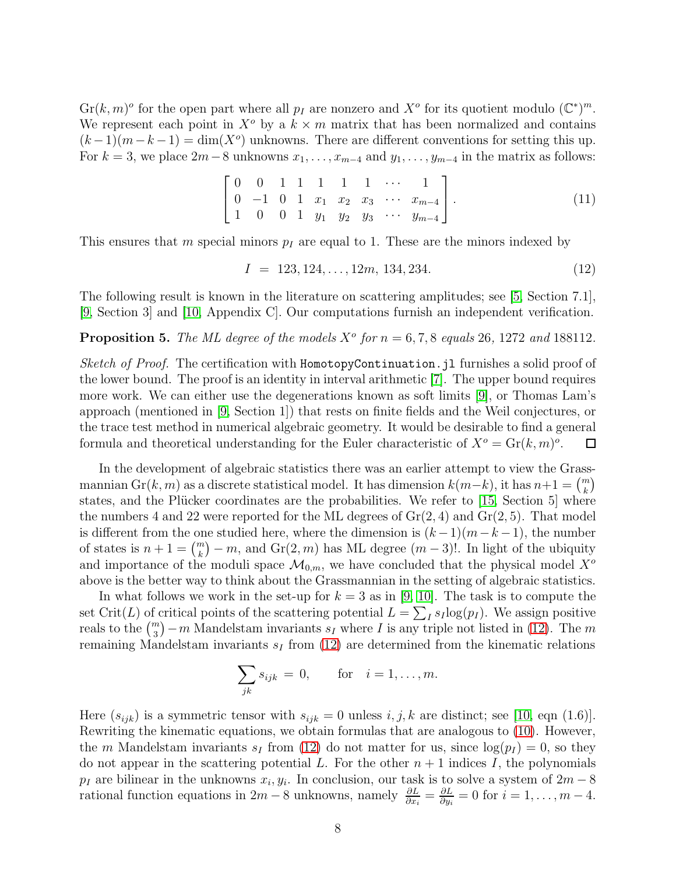$\text{Gr}(k,m)^\circ$  for the open part where all  $p_I$  are nonzero and  $X^\circ$  for its quotient modulo  $(\mathbb{C}^*)^m$ . We represent each point in  $X^{\circ}$  by a  $k \times m$  matrix that has been normalized and contains  $(k-1)(m-k-1) = \dim(X^o)$  unknowns. There are different conventions for setting this up. For  $k = 3$ , we place 2m – 8 unknowns  $x_1, \ldots, x_{m-4}$  and  $y_1, \ldots, y_{m-4}$  in the matrix as follows:

<span id="page-7-2"></span>
$$
\begin{bmatrix} 0 & 0 & 1 & 1 & 1 & 1 & 1 & \cdots & 1 \\ 0 & -1 & 0 & 1 & x_1 & x_2 & x_3 & \cdots & x_{m-4} \\ 1 & 0 & 0 & 1 & y_1 & y_2 & y_3 & \cdots & y_{m-4} \end{bmatrix}.
$$
 (11)

This ensures that m special minors  $p_I$  are equal to 1. These are the minors indexed by

<span id="page-7-0"></span>
$$
I = 123, 124, \dots, 12m, 134, 234. \tag{12}
$$

The following result is known in the literature on scattering amplitudes; see [\[5,](#page-16-7) Section 7.1], [\[9,](#page-16-6) Section 3] and [\[10,](#page-16-2) Appendix C]. Our computations furnish an independent verification.

### <span id="page-7-1"></span>**Proposition 5.** The ML degree of the models  $X^{\circ}$  for  $n = 6, 7, 8$  equals 26, 1272 and 188112.

Sketch of Proof. The certification with HomotopyContinuation.jl furnishes a solid proof of the lower bound. The proof is an identity in interval arithmetic [\[7\]](#page-16-3). The upper bound requires more work. We can either use the degenerations known as soft limits [\[9\]](#page-16-6), or Thomas Lam's approach (mentioned in [\[9,](#page-16-6) Section 1]) that rests on finite fields and the Weil conjectures, or the trace test method in numerical algebraic geometry. It would be desirable to find a general formula and theoretical understanding for the Euler characteristic of  $X^o = \text{Gr}(k,m)^\circ$ .  $\Box$ 

In the development of algebraic statistics there was an earlier attempt to view the Grassmannian Gr(k, m) as a discrete statistical model. It has dimension  $k(m-k)$ , it has  $n+1 = {m \choose k}$ states, and the Plücker coordinates are the probabilities. We refer to  $[15, Section 5]$  where the numbers 4 and 22 were reported for the ML degrees of  $Gr(2, 4)$  and  $Gr(2, 5)$ . That model is different from the one studied here, where the dimension is  $(k-1)(m-k-1)$ , the number of states is  $n + 1 = {m \choose k} - m$ , and  $\text{Gr}(2, m)$  has ML degree  $(m - 3)!$ . In light of the ubiquity and importance of the moduli space  $\mathcal{M}_{0,m}$ , we have concluded that the physical model  $X^{\circ}$ above is the better way to think about the Grassmannian in the setting of algebraic statistics.

In what follows we work in the set-up for  $k = 3$  as in [\[9,](#page-16-6) [10\]](#page-16-2). The task is to compute the set Crit(L) of critical points of the scattering potential  $L = \sum_I s_I \log(p_I)$ . We assign positive reals to the  $\binom{m}{3} - m$  Mandelstam invariants  $s_I$  where I is any triple not listed in [\(12\)](#page-7-0). The m remaining Mandelstam invariants  $s_I$  from [\(12\)](#page-7-0) are determined from the kinematic relations

$$
\sum_{jk} s_{ijk} = 0, \quad \text{for} \quad i = 1, \dots, m.
$$

Here  $(s_{ijk})$  is a symmetric tensor with  $s_{ijk} = 0$  unless  $i, j, k$  are distinct; see [\[10,](#page-16-2) eqn (1.6)]. Rewriting the kinematic equations, we obtain formulas that are analogous to [\(10\)](#page-3-1). However, the m Mandelstam invariants  $s_I$  from [\(12\)](#page-7-0) do not matter for us, since  $\log(p_I) = 0$ , so they do not appear in the scattering potential L. For the other  $n+1$  indices I, the polynomials  $p_I$  are bilinear in the unknowns  $x_i, y_i$ . In conclusion, our task is to solve a system of  $2m - 8$ rational function equations in  $2m - 8$  unknowns, namely  $\frac{\partial L}{\partial x_i} = \frac{\partial L}{\partial y_i}$  $\frac{\partial L}{\partial y_i} = 0$  for  $i = 1, \ldots, m-4$ .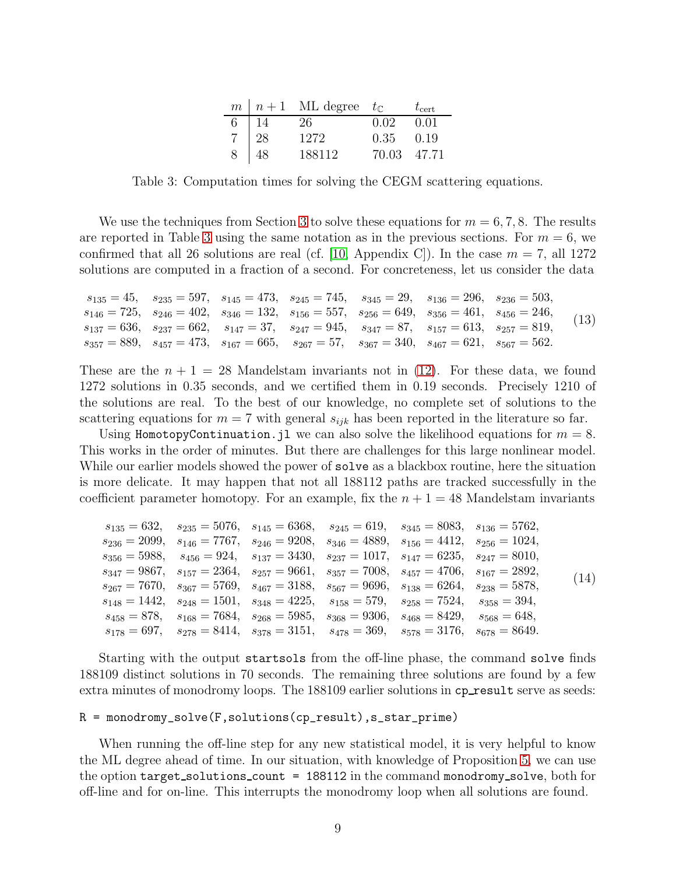|   |     | $m \mid n+1$ ML degree $t_{\mathbb{C}}$ |             | $t_{\rm cert}$ |
|---|-----|-----------------------------------------|-------------|----------------|
| 6 | -14 | 26                                      | 0.02        | 0.01           |
|   | 28  | 1272                                    | 0.35        | 0.19           |
| 8 | 48  | 188112                                  | 70.03 47.71 |                |

<span id="page-8-0"></span>Table 3: Computation times for solving the CEGM scattering equations.

We use the techniques from Section [3](#page-4-1) to solve these equations for  $m = 6, 7, 8$ . The results are reported in Table [3](#page-8-0) using the same notation as in the previous sections. For  $m = 6$ , we confirmed that all 26 solutions are real (cf. [\[10,](#page-16-2) Appendix C]). In the case  $m = 7$ , all 1272 solutions are computed in a fraction of a second. For concreteness, let us consider the data

<span id="page-8-2"></span>
$$
\begin{aligned} s_{135} &= 45, \quad s_{235} = 597, \quad s_{145} = 473, \quad s_{245} = 745, \quad s_{345} = 29, \quad s_{136} = 296, \quad s_{236} = 503, \\ s_{146} &= 725, \quad s_{246} = 402, \quad s_{346} = 132, \quad s_{156} = 557, \quad s_{256} = 649, \quad s_{356} = 461, \quad s_{456} = 246, \\ s_{137} &= 636, \quad s_{237} = 662, \quad s_{147} = 37, \quad s_{247} = 945, \quad s_{347} = 87, \quad s_{157} = 613, \quad s_{257} = 819, \\ s_{357} &= 889, \quad s_{457} = 473, \quad s_{167} = 665, \quad s_{267} = 57, \quad s_{367} = 340, \quad s_{467} = 621, \quad s_{567} = 562. \end{aligned} \tag{13}
$$

These are the  $n + 1 = 28$  Mandelstam invariants not in [\(12\)](#page-7-0). For these data, we found 1272 solutions in 0.35 seconds, and we certified them in 0.19 seconds. Precisely 1210 of the solutions are real. To the best of our knowledge, no complete set of solutions to the scattering equations for  $m = 7$  with general  $s_{ijk}$  has been reported in the literature so far.

Using HomotopyContinuation.jl we can also solve the likelihood equations for  $m = 8$ . This works in the order of minutes. But there are challenges for this large nonlinear model. While our earlier models showed the power of solve as a blackbox routine, here the situation is more delicate. It may happen that not all 188112 paths are tracked successfully in the coefficient parameter homotopy. For an example, fix the  $n + 1 = 48$  Mandelstam invariants

<span id="page-8-1"></span>

| $s_{236} = 2099, \quad s_{146} = 7767, \quad s_{246} = 9208, \quad s_{346} = 4889, \quad s_{156} = 4412, \quad s_{256} = 1024,$<br>$s_{356} = 5988$ , $s_{456} = 924$ , $s_{137} = 3430$ , $s_{237} = 1017$ , $s_{147} = 6235$ , $s_{247} = 8010$ ,<br>$s_{347} = 9867$ , $s_{157} = 2364$ , $s_{257} = 9661$ , $s_{357} = 7008$ , $s_{457} = 4706$ , $s_{167} = 2892$ , |      |
|--------------------------------------------------------------------------------------------------------------------------------------------------------------------------------------------------------------------------------------------------------------------------------------------------------------------------------------------------------------------------|------|
|                                                                                                                                                                                                                                                                                                                                                                          |      |
|                                                                                                                                                                                                                                                                                                                                                                          |      |
|                                                                                                                                                                                                                                                                                                                                                                          | (14) |
| $s_{267} = 7670, \quad s_{367} = 5769, \quad s_{467} = 3188, \quad s_{567} = 9696, \quad s_{138} = 6264, \quad s_{238} = 5878,$                                                                                                                                                                                                                                          |      |
| $s_{148} = 1442$ , $s_{248} = 1501$ , $s_{348} = 4225$ , $s_{158} = 579$ , $s_{258} = 7524$ , $s_{358} = 394$ ,                                                                                                                                                                                                                                                          |      |
| $s_{458} = 878$ , $s_{168} = 7684$ , $s_{268} = 5985$ , $s_{368} = 9306$ , $s_{468} = 8429$ , $s_{568} = 648$ ,                                                                                                                                                                                                                                                          |      |
| $s_{178} = 697$ , $s_{278} = 8414$ , $s_{378} = 3151$ , $s_{478} = 369$ , $s_{578} = 3176$ , $s_{678} = 8649$ .                                                                                                                                                                                                                                                          |      |

Starting with the output startsols from the off-line phase, the command solve finds 188109 distinct solutions in 70 seconds. The remaining three solutions are found by a few extra minutes of monodromy loops. The 188109 earlier solutions in cpresult serve as seeds:

### R = monodromy\_solve(F,solutions(cp\_result),s\_star\_prime)

When running the off-line step for any new statistical model, it is very helpful to know the ML degree ahead of time. In our situation, with knowledge of Proposition [5,](#page-7-1) we can use the option target solutions count = 188112 in the command monodromy solve, both for off-line and for on-line. This interrupts the monodromy loop when all solutions are found.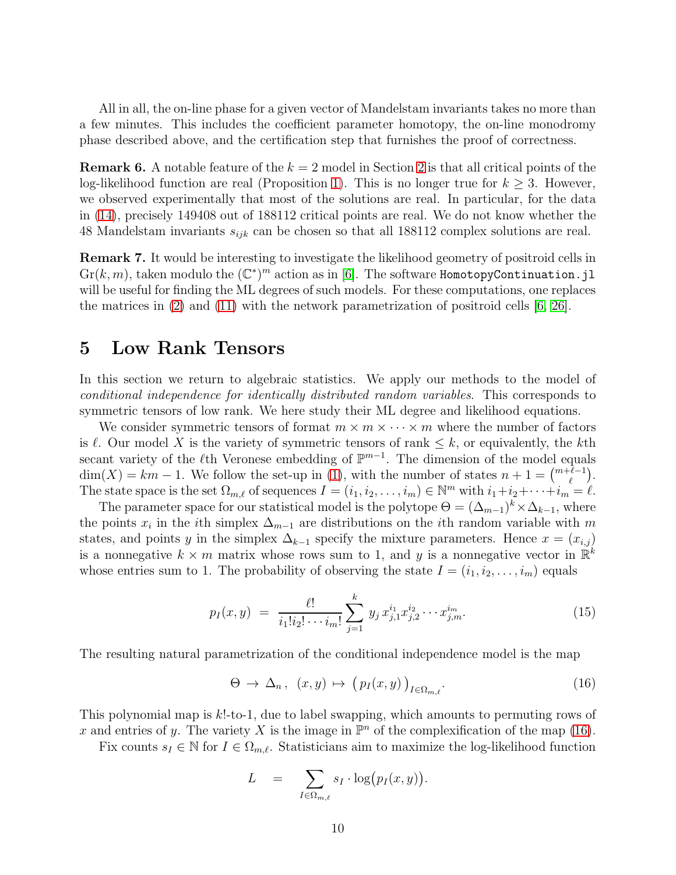All in all, the on-line phase for a given vector of Mandelstam invariants takes no more than a few minutes. This includes the coefficient parameter homotopy, the on-line monodromy phase described above, and the certification step that furnishes the proof of correctness.

**Remark 6.** A notable feature of the  $k = 2$  $k = 2$  model in Section 2 is that all critical points of the log-likelihood function are real (Proposition [1\)](#page-2-2). This is no longer true for  $k \geq 3$ . However, we observed experimentally that most of the solutions are real. In particular, for the data in [\(14\)](#page-8-1), precisely 149408 out of 188112 critical points are real. We do not know whether the 48 Mandelstam invariants  $s_{ijk}$  can be chosen so that all 188112 complex solutions are real.

Remark 7. It would be interesting to investigate the likelihood geometry of positroid cells in  $\mathrm{Gr}(k,m)$ , taken modulo the  $(\mathbb{C}^*)^m$  action as in [\[6\]](#page-16-8). The software HomotopyContinuation.jl will be useful for finding the ML degrees of such models. For these computations, one replaces the matrices in [\(2\)](#page-1-1) and [\(11\)](#page-7-2) with the network parametrization of positroid cells [\[6,](#page-16-8) [26\]](#page-17-12).

### <span id="page-9-0"></span>5 Low Rank Tensors

In this section we return to algebraic statistics. We apply our methods to the model of conditional independence for identically distributed random variables. This corresponds to symmetric tensors of low rank. We here study their ML degree and likelihood equations.

We consider symmetric tensors of format  $m \times m \times \cdots \times m$  where the number of factors is  $\ell$ . Our model X is the variety of symmetric tensors of rank  $\leq k$ , or equivalently, the kth secant variety of the  $\ell$ th Veronese embedding of  $\mathbb{P}^{m-1}$ . The dimension of the model equals  $\dim(X) = km - 1$ . We follow the set-up in [\(1\)](#page-0-0), with the number of states  $n + 1 = \binom{m+\ell-1}{\ell}$ . The state space is the set  $\Omega_{m,\ell}$  of sequences  $I = (i_1, i_2, \ldots, i_m) \in \mathbb{N}^m$  with  $i_1 + i_2 + \cdots + i_m = \ell$ .

The parameter space for our statistical model is the polytope  $\Theta = (\Delta_{m-1})^k \times \Delta_{k-1}$ , where the points  $x_i$  in the *i*th simplex  $\Delta_{m-1}$  are distributions on the *i*th random variable with m states, and points y in the simplex  $\Delta_{k-1}$  specify the mixture parameters. Hence  $x = (x_{i,j})$ is a nonnegative  $k \times m$  matrix whose rows sum to 1, and y is a nonnegative vector in  $\mathbb{R}^k$ whose entries sum to 1. The probability of observing the state  $I = (i_1, i_2, \ldots, i_m)$  equals

<span id="page-9-2"></span>
$$
p_I(x,y) = \frac{\ell!}{i_1!i_2!\cdots i_m!} \sum_{j=1}^k y_j x_{j,1}^{i_1} x_{j,2}^{i_2} \cdots x_{j,m}^{i_m}.
$$
 (15)

The resulting natural parametrization of the conditional independence model is the map

<span id="page-9-1"></span>
$$
\Theta \to \Delta_n, \ (x, y) \mapsto (p_I(x, y))_{I \in \Omega_{m, \ell}}. \tag{16}
$$

This polynomial map is k!-to-1, due to label swapping, which amounts to permuting rows of x and entries of y. The variety X is the image in  $\mathbb{P}^n$  of the complexification of the map [\(16\)](#page-9-1).

Fix counts  $s_I \in \mathbb{N}$  for  $I \in \Omega_{m,\ell}$ . Statisticians aim to maximize the log-likelihood function

$$
L = \sum_{I \in \Omega_{m,\ell}} s_I \cdot \log(p_I(x, y)).
$$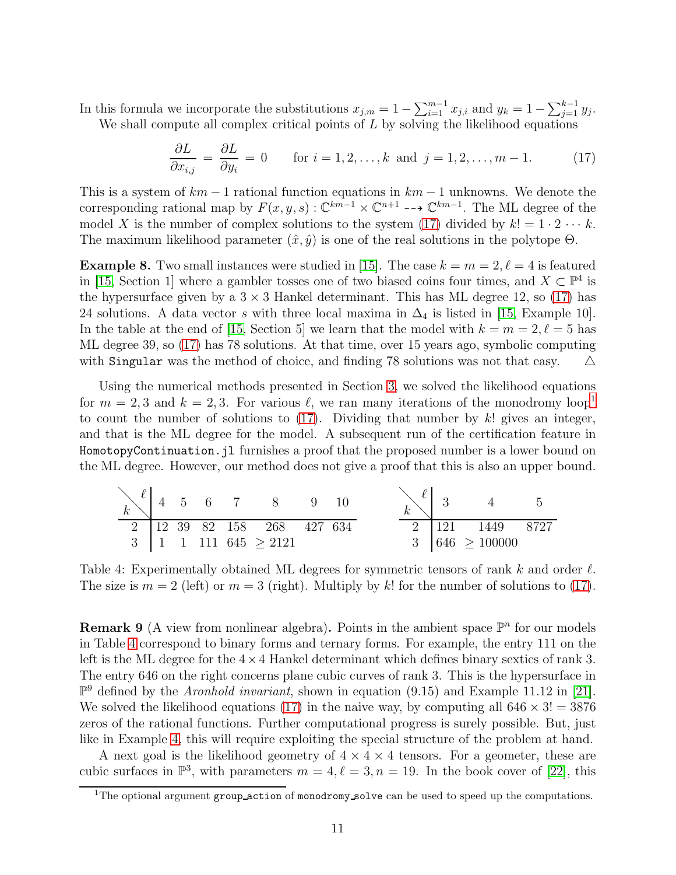In this formula we incorporate the substitutions  $x_{j,m} = 1 - \sum_{i=1}^{m-1} x_{j,i}$  and  $y_k = 1 - \sum_{j=1}^{k-1} y_j$ . We shall compute all complex critical points of  $L$  by solving the likelihood equations

<span id="page-10-0"></span>
$$
\frac{\partial L}{\partial x_{i,j}} = \frac{\partial L}{\partial y_i} = 0 \quad \text{for } i = 1, 2, \dots, k \text{ and } j = 1, 2, \dots, m - 1.
$$
 (17)

This is a system of  $km - 1$  rational function equations in  $km - 1$  unknowns. We denote the corresponding rational map by  $F(x, y, s) : \mathbb{C}^{km-1} \times \mathbb{C}^{m+1} \longrightarrow \mathbb{C}^{km-1}$ . The ML degree of the model X is the number of complex solutions to the system [\(17\)](#page-10-0) divided by  $k! = 1 \cdot 2 \cdots k$ . The maximum likelihood parameter  $(\hat{x}, \hat{y})$  is one of the real solutions in the polytope  $\Theta$ .

**Example 8.** Two small instances were studied in [\[15\]](#page-17-8). The case  $k = m = 2, \ell = 4$  is featured in [\[15,](#page-17-8) Section 1] where a gambler tosses one of two biased coins four times, and  $X \subset \mathbb{P}^4$  is the hypersurface given by a  $3 \times 3$  Hankel determinant. This has ML degree 12, so [\(17\)](#page-10-0) has 24 solutions. A data vector s with three local maxima in  $\Delta_4$  is listed in [\[15,](#page-17-8) Example 10]. In the table at the end of [\[15,](#page-17-8) Section 5] we learn that the model with  $k = m = 2, \ell = 5$  has ML degree 39, so [\(17\)](#page-10-0) has 78 solutions. At that time, over 15 years ago, symbolic computing with Singular was the method of choice, and finding 78 solutions was not that easy.  $\Delta$ 

Using the numerical methods presented in Section [3,](#page-4-1) we solved the likelihood equations for  $m = 2, 3$  and  $k = 2, 3$ . For various  $\ell$ , we ran many iterations of the monodromy loop<sup>[1](#page-10-1)</sup> to count the number of solutions to  $(17)$ . Dividing that number by k! gives an integer, and that is the ML degree for the model. A subsequent run of the certification feature in HomotopyContinuation.jl furnishes a proof that the proposed number is a lower bound on the ML degree. However, our method does not give a proof that this is also an upper bound.

<span id="page-10-2"></span>

| k | 4  | 5  | 6   | 7   | 8           | 9   | 10  |
|---|----|----|-----|-----|-------------|-----|-----|
| 2 | 12 | 39 | 82  | 158 | 268         | 427 | 634 |
| 3 | 1  | 1  | 111 | 645 | $\geq$ 2121 |     |     |

Table 4: Experimentally obtained ML degrees for symmetric tensors of rank k and order  $\ell$ . The size is  $m = 2$  (left) or  $m = 3$  (right). Multiply by k! for the number of solutions to [\(17\)](#page-10-0).

**Remark 9** (A view from nonlinear algebra). Points in the ambient space  $\mathbb{P}^n$  for our models in Table [4](#page-10-2) correspond to binary forms and ternary forms. For example, the entry 111 on the left is the ML degree for the  $4\times4$  Hankel determinant which defines binary sextics of rank 3. The entry 646 on the right concerns plane cubic curves of rank 3. This is the hypersurface in  $\mathbb{P}^9$  defined by the *Aronhold invariant*, shown in equation (9.15) and Example 11.12 in [\[21\]](#page-17-2). We solved the likelihood equations [\(17\)](#page-10-0) in the naive way, by computing all  $646 \times 3! = 3876$ zeros of the rational functions. Further computational progress is surely possible. But, just like in Example [4,](#page-6-3) this will require exploiting the special structure of the problem at hand.

A next goal is the likelihood geometry of  $4 \times 4 \times 4$  tensors. For a geometer, these are cubic surfaces in  $\mathbb{P}^3$ , with parameters  $m = 4, \ell = 3, n = 19$ . In the book cover of [\[22\]](#page-17-0), this

<span id="page-10-1"></span><sup>&</sup>lt;sup>1</sup>The optional argument group action of monodromy solve can be used to speed up the computations.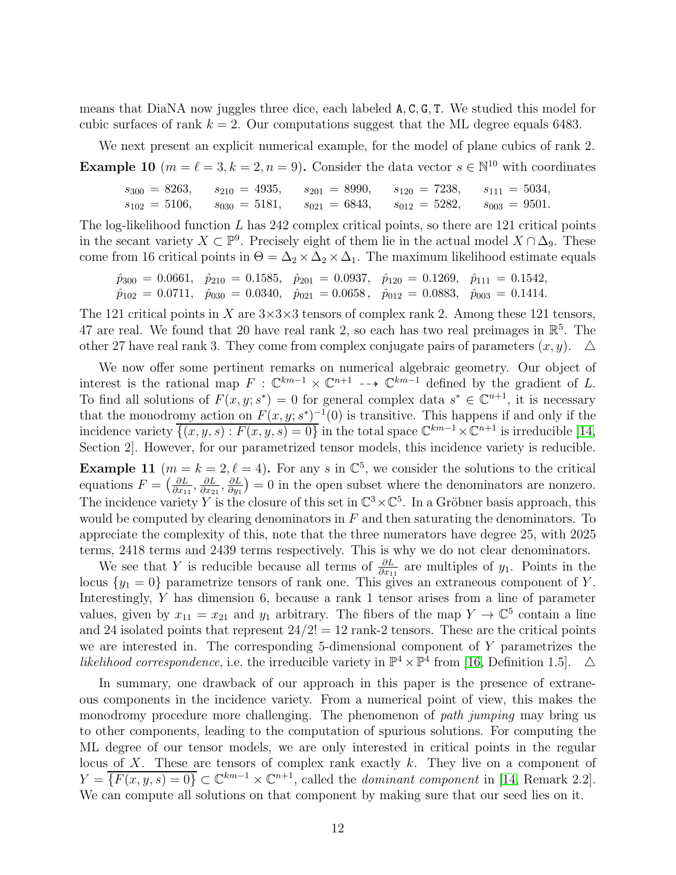means that DiaNA now juggles three dice, each labeled A, C, G, T. We studied this model for cubic surfaces of rank  $k = 2$ . Our computations suggest that the ML degree equals 6483.

We next present an explicit numerical example, for the model of plane cubics of rank 2.

**Example 10**  $(m = \ell = 3, k = 2, n = 9)$ . Consider the data vector  $s \in \mathbb{N}^{10}$  with coordinates

 $s_{300} = 8263$ ,  $s_{210} = 4935$ ,  $s_{201} = 8990$ ,  $s_{120} = 7238$ ,  $s_{111} = 5034$ ,  $s_{102} = 5106$ ,  $s_{030} = 5181$ ,  $s_{021} = 6843$ ,  $s_{012} = 5282$ ,  $s_{003} = 9501$ .

The log-likelihood function  $L$  has 242 complex critical points, so there are 121 critical points in the secant variety  $X \subset \mathbb{P}^9$ . Precisely eight of them lie in the actual model  $X \cap \Delta_9$ . These come from 16 critical points in  $\Theta = \Delta_2 \times \Delta_2 \times \Delta_1$ . The maximum likelihood estimate equals

$$
\hat{p}_{300} = 0.0661, \quad \hat{p}_{210} = 0.1585, \quad \hat{p}_{201} = 0.0937, \quad \hat{p}_{120} = 0.1269, \quad \hat{p}_{111} = 0.1542, \n\hat{p}_{102} = 0.0711, \quad \hat{p}_{030} = 0.0340, \quad \hat{p}_{021} = 0.0658, \quad \hat{p}_{012} = 0.0883, \quad \hat{p}_{003} = 0.1414.
$$

The 121 critical points in X are  $3\times3\times3$  tensors of complex rank 2. Among these 121 tensors, 47 are real. We found that 20 have real rank 2, so each has two real preimages in  $\mathbb{R}^5$ . The other 27 have real rank 3. They come from complex conjugate pairs of parameters  $(x, y)$ .  $\Delta$ 

We now offer some pertinent remarks on numerical algebraic geometry. Our object of interest is the rational map  $F : \mathbb{C}^{km-1} \times \mathbb{C}^{n+1} \longrightarrow \mathbb{C}^{km-1}$  defined by the gradient of L. To find all solutions of  $F(x, y; s^*) = 0$  for general complex data  $s^* \in \mathbb{C}^{n+1}$ , it is necessary that the monodromy action on  $F(x, y; s^*)^{-1}(0)$  is transitive. This happens if and only if the incidence variety  $\overline{\{(x,y,s): F(x,y,s)=0\}}$  in the total space  $\mathbb{C}^{km-1}\times \mathbb{C}^{n+1}$  is irreducible [\[14,](#page-17-10) Section 2. However, for our parametrized tensor models, this incidence variety is reducible.

**Example 11**  $(m = k = 2, \ell = 4)$ . For any s in  $\mathbb{C}^5$ , we consider the solutions to the critical equations  $F = \left(\frac{\partial L}{\partial x_1}\right)$  $\frac{\partial L}{\partial x_{11}},\frac{\partial L}{\partial x_{2}}$  $\frac{\partial L}{\partial x_{21}}, \frac{\partial L}{\partial y_1}$  $\frac{\partial L}{\partial y_1}$  = 0 in the open subset where the denominators are nonzero. The incidence variety Y is the closure of this set in  $\mathbb{C}^3 \times \mathbb{C}^5$ . In a Gröbner basis approach, this would be computed by clearing denominators in  $F$  and then saturating the denominators. To appreciate the complexity of this, note that the three numerators have degree 25, with 2025 terms, 2418 terms and 2439 terms respectively. This is why we do not clear denominators.

We see that Y is reducible because all terms of  $\frac{\partial L}{\partial x_{11}}$  are multiples of  $y_1$ . Points in the locus  $\{y_1 = 0\}$  parametrize tensors of rank one. This gives an extraneous component of Y. Interestingly, Y has dimension 6, because a rank 1 tensor arises from a line of parameter values, given by  $x_{11} = x_{21}$  and  $y_1$  arbitrary. The fibers of the map  $Y \to \mathbb{C}^5$  contain a line and 24 isolated points that represent  $24/2! = 12$  rank-2 tensors. These are the critical points we are interested in. The corresponding 5-dimensional component of Y parametrizes the likelihood correspondence, i.e. the irreducible variety in  $\mathbb{P}^4 \times \mathbb{P}^4$  from [\[16,](#page-17-4) Definition 1.5].  $\Delta$ 

In summary, one drawback of our approach in this paper is the presence of extraneous components in the incidence variety. From a numerical point of view, this makes the monodromy procedure more challenging. The phenomenon of *path jumping* may bring us to other components, leading to the computation of spurious solutions. For computing the ML degree of our tensor models, we are only interested in critical points in the regular locus of  $X$ . These are tensors of complex rank exactly  $k$ . They live on a component of  $Y = \overline{\{F(x, y, s) = 0\}} \subset \mathbb{C}^{km-1} \times \mathbb{C}^{n+1}$ , called the *dominant component* in [\[14,](#page-17-10) Remark 2.2]. We can compute all solutions on that component by making sure that our seed lies on it.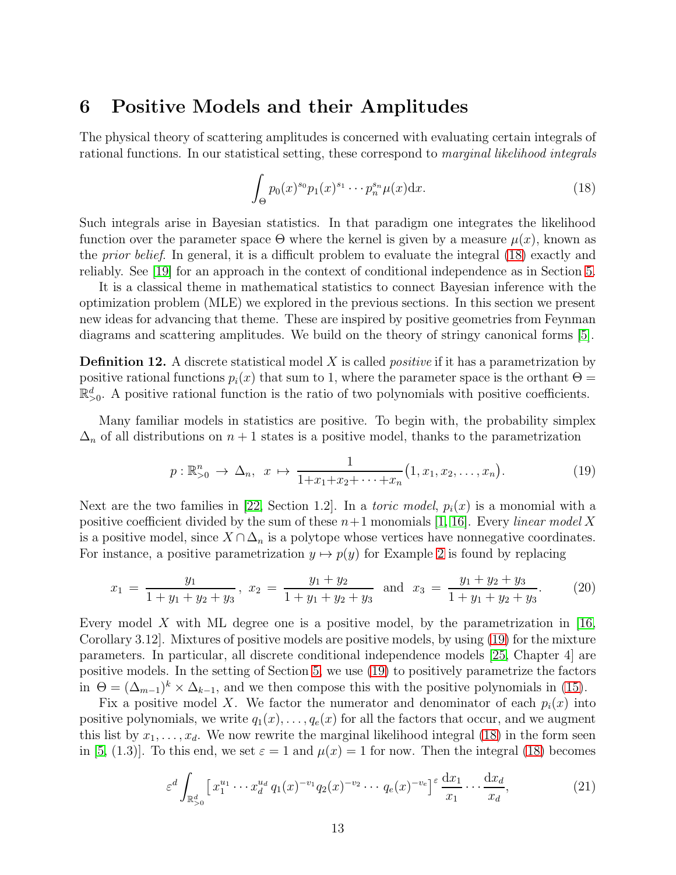## <span id="page-12-0"></span>6 Positive Models and their Amplitudes

The physical theory of scattering amplitudes is concerned with evaluating certain integrals of rational functions. In our statistical setting, these correspond to marginal likelihood integrals

<span id="page-12-2"></span>
$$
\int_{\Theta} p_0(x)^{s_0} p_1(x)^{s_1} \cdots p_n^{s_n} \mu(x) dx.
$$
 (18)

Such integrals arise in Bayesian statistics. In that paradigm one integrates the likelihood function over the parameter space  $\Theta$  where the kernel is given by a measure  $\mu(x)$ , known as the prior belief. In general, it is a difficult problem to evaluate the integral [\(18\)](#page-12-2) exactly and reliably. See [\[19\]](#page-17-13) for an approach in the context of conditional independence as in Section [5.](#page-9-0)

It is a classical theme in mathematical statistics to connect Bayesian inference with the optimization problem (MLE) we explored in the previous sections. In this section we present new ideas for advancing that theme. These are inspired by positive geometries from Feynman diagrams and scattering amplitudes. We build on the theory of stringy canonical forms [\[5\]](#page-16-7).

<span id="page-12-1"></span>**Definition 12.** A discrete statistical model X is called *positive* if it has a parametrization by positive rational functions  $p_i(x)$  that sum to 1, where the parameter space is the orthant  $\Theta =$  $\mathbb{R}_{>0}^d$ . A positive rational function is the ratio of two polynomials with positive coefficients.

Many familiar models in statistics are positive. To begin with, the probability simplex  $\Delta_n$  of all distributions on  $n+1$  states is a positive model, thanks to the parametrization

<span id="page-12-3"></span>
$$
p: \mathbb{R}_{>0}^n \to \Delta_n, \ x \mapsto \frac{1}{1+x_1+x_2+\cdots+x_n} \big(1, x_1, x_2, \ldots, x_n\big). \tag{19}
$$

Next are the two families in [\[22,](#page-17-0) Section 1.2]. In a *toric model*,  $p_i(x)$  is a monomial with a positive coefficient divided by the sum of these  $n+1$  monomials [\[1,](#page-16-9) [16\]](#page-17-4). Every *linear model X* is a positive model, since  $X \cap \Delta_n$  is a polytope whose vertices have nonnegative coordinates. For instance, a positive parametrization  $y \mapsto p(y)$  for Example [2](#page-2-3) is found by replacing

<span id="page-12-5"></span>
$$
x_1 = \frac{y_1}{1+y_1+y_2+y_3}, \ x_2 = \frac{y_1+y_2}{1+y_1+y_2+y_3} \text{ and } x_3 = \frac{y_1+y_2+y_3}{1+y_1+y_2+y_3}.\tag{20}
$$

Every model X with ML degree one is a positive model, by the parametrization in  $[16,$ Corollary 3.12]. Mixtures of positive models are positive models, by using [\(19\)](#page-12-3) for the mixture parameters. In particular, all discrete conditional independence models [\[25,](#page-17-1) Chapter 4] are positive models. In the setting of Section [5,](#page-9-0) we use [\(19\)](#page-12-3) to positively parametrize the factors in  $\Theta = (\Delta_{m-1})^k \times \Delta_{k-1}$ , and we then compose this with the positive polynomials in [\(15\)](#page-9-2).

Fix a positive model X. We factor the numerator and denominator of each  $p_i(x)$  into positive polynomials, we write  $q_1(x), \ldots, q_e(x)$  for all the factors that occur, and we augment this list by  $x_1, \ldots, x_d$ . We now rewrite the marginal likelihood integral [\(18\)](#page-12-2) in the form seen in [\[5,](#page-16-7) (1.3)]. To this end, we set  $\varepsilon = 1$  and  $\mu(x) = 1$  for now. Then the integral [\(18\)](#page-12-2) becomes

<span id="page-12-4"></span>
$$
\varepsilon^{d} \int_{\mathbb{R}^{d}_{>0}} \left[ x_{1}^{u_{1}} \cdots x_{d}^{u_{d}} q_{1}(x)^{-v_{1}} q_{2}(x)^{-v_{2}} \cdots q_{e}(x)^{-v_{e}} \right]^{\varepsilon} \frac{\mathrm{d} x_{1}}{x_{1}} \cdots \frac{\mathrm{d} x_{d}}{x_{d}},\tag{21}
$$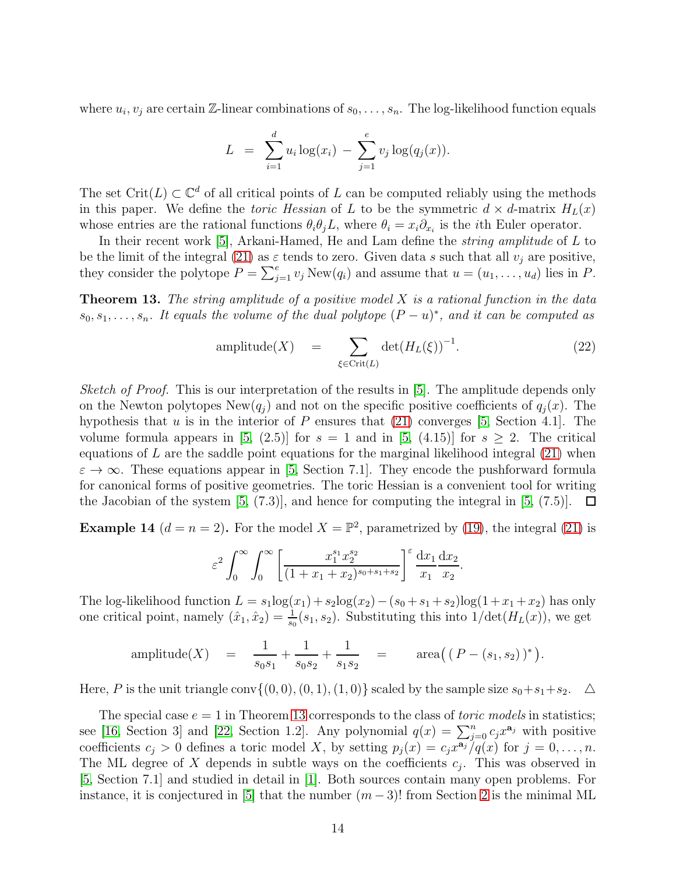where  $u_i, v_j$  are certain Z-linear combinations of  $s_0, \ldots, s_n$ . The log-likelihood function equals

$$
L = \sum_{i=1}^d u_i \log(x_i) - \sum_{j=1}^e v_j \log(q_j(x)).
$$

The set Crit $(L) \subset \mathbb{C}^d$  of all critical points of L can be computed reliably using the methods in this paper. We define the *toric Hessian* of L to be the symmetric  $d \times d$ -matrix  $H_L(x)$ whose entries are the rational functions  $\theta_i \theta_j L$ , where  $\theta_i = x_i \partial_{x_i}$  is the *i*th Euler operator.

In their recent work [\[5\]](#page-16-7), Arkani-Hamed, He and Lam define the *string amplitude* of L to be the limit of the integral [\(21\)](#page-12-4) as  $\varepsilon$  tends to zero. Given data s such that all  $v_i$  are positive, they consider the polytope  $P = \sum_{j=1}^{e} v_j \text{New}(q_i)$  and assume that  $u = (u_1, \ldots, u_d)$  lies in P.

<span id="page-13-0"></span>**Theorem 13.** The string amplitude of a positive model  $X$  is a rational function in the data  $s_0, s_1, \ldots, s_n$ . It equals the volume of the dual polytope  $(P - u)^*$ , and it can be computed as

<span id="page-13-1"></span>amplitude(X) = 
$$
\sum_{\xi \in \text{Crit}(L)} \det(H_L(\xi))^{-1}.
$$
 (22)

Sketch of Proof. This is our interpretation of the results in [\[5\]](#page-16-7). The amplitude depends only on the Newton polytopes  $\text{New}(q_i)$  and not on the specific positive coefficients of  $q_i(x)$ . The hypothesis that  $u$  is in the interior of  $P$  ensures that [\(21\)](#page-12-4) converges [\[5,](#page-16-7) Section 4.1]. The volume formula appears in [\[5,](#page-16-7) (2.5)] for  $s = 1$  and in [5, (4.15)] for  $s > 2$ . The critical equations of  $L$  are the saddle point equations for the marginal likelihood integral  $(21)$  when  $\varepsilon \to \infty$ . These equations appear in [\[5,](#page-16-7) Section 7.1]. They encode the pushforward formula for canonical forms of positive geometries. The toric Hessian is a convenient tool for writing the Jacobian of the system [\[5,](#page-16-7) (7.3)], and hence for computing the integral in [5, (7.5)].  $\Box$ 

**Example 14**  $(d = n = 2)$ . For the model  $X = \mathbb{P}^2$ , parametrized by [\(19\)](#page-12-3), the integral [\(21\)](#page-12-4) is

$$
\varepsilon^{2} \int_{0}^{\infty} \int_{0}^{\infty} \left[ \frac{x_{1}^{s_{1}} x_{2}^{s_{2}}}{(1 + x_{1} + x_{2})^{s_{0} + s_{1} + s_{2}}} \right]^{\varepsilon} \frac{dx_{1}}{x_{1}} \frac{dx_{2}}{x_{2}}.
$$

The log-likelihood function  $L = s_1 \log(x_1) + s_2 \log(x_2) - (s_0 + s_1 + s_2) \log(1 + x_1 + x_2)$  has only one critical point, namely  $(\hat{x}_1, \hat{x}_2) = \frac{1}{s_0}(s_1, s_2)$ . Substituting this into  $1/\det(H_L(x))$ , we get

amplitude(X) = 
$$
\frac{1}{s_0 s_1} + \frac{1}{s_0 s_2} + \frac{1}{s_1 s_2}
$$
 = area((P - (s\_1, s\_2))<sup>\*</sup>).

Here, P is the unit triangle conv $\{(0, 0), (0, 1), (1, 0)\}$  scaled by the sample size  $s_0+s_1+s_2$ .  $\triangle$ 

The special case  $e = 1$  in Theorem [13](#page-13-0) corresponds to the class of *toric models* in statistics; see [\[16,](#page-17-4) Section 3] and [\[22,](#page-17-0) Section 1.2]. Any polynomial  $q(x) = \sum_{j=0}^{n} c_j x^{a_j}$  with positive coefficients  $c_j > 0$  defines a toric model X, by setting  $p_j(x) = c_j x^{\overline{a_j}}/q(x)$  for  $j = 0, \ldots, n$ . The ML degree of X depends in subtle ways on the coefficients  $c_j$ . This was observed in [\[5,](#page-16-7) Section 7.1] and studied in detail in [\[1\]](#page-16-9). Both sources contain many open problems. For instance, it is conjectured in [\[5\]](#page-16-7) that the number  $(m-3)!$  from Section [2](#page-1-0) is the minimal ML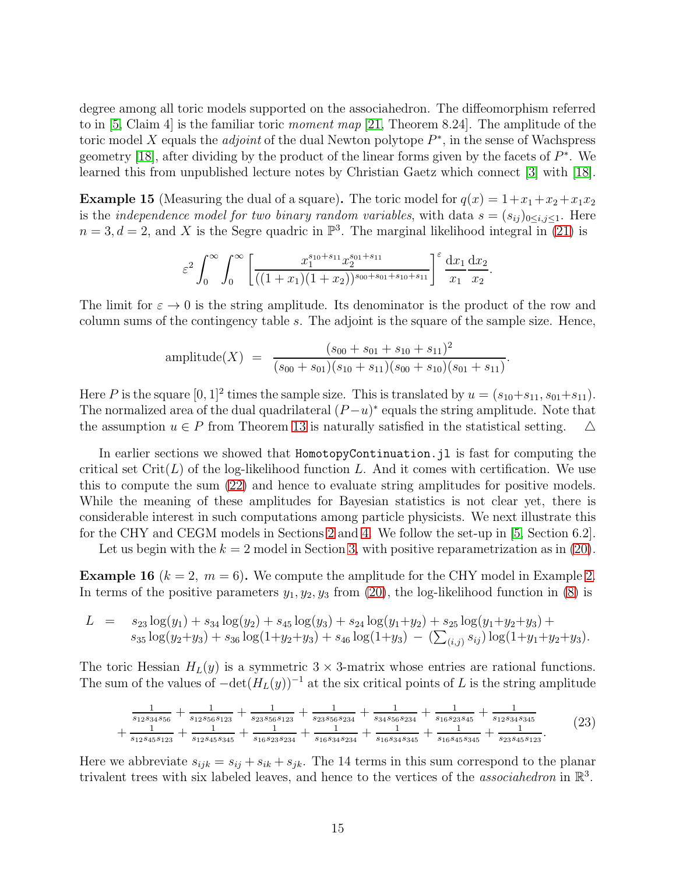degree among all toric models supported on the associahedron. The diffeomorphism referred to in [\[5,](#page-16-7) Claim 4] is the familiar toric moment map [\[21,](#page-17-2) Theorem 8.24]. The amplitude of the toric model X equals the *adjoint* of the dual Newton polytope  $P^*$ , in the sense of Wachspress geometry [\[18\]](#page-17-14), after dividing by the product of the linear forms given by the facets of  $P^*$ . We learned this from unpublished lecture notes by Christian Gaetz which connect [\[3\]](#page-16-0) with [\[18\]](#page-17-14).

**Example 15** (Measuring the dual of a square). The toric model for  $q(x) = 1 + x_1 + x_2 + x_1x_2$ is the *independence model for two binary random variables*, with data  $s = (s_{ij})_{0 \le i,j \le 1}$ . Here  $n=3, d=2$ , and X is the Segre quadric in  $\mathbb{P}^3$ . The marginal likelihood integral in [\(21\)](#page-12-4) is

$$
\varepsilon^2 \int_0^\infty \int_0^\infty \left[ \frac{x_1^{s_{10}+s_{11}} x_2^{s_{01}+s_{11}}}{((1+x_1)(1+x_2))^{s_{00}+s_{01}+s_{10}+s_{11}}} \right]^\varepsilon \frac{dx_1}{x_1} \frac{dx_2}{x_2}.
$$

The limit for  $\varepsilon \to 0$  is the string amplitude. Its denominator is the product of the row and column sums of the contingency table s. The adjoint is the square of the sample size. Hence,

amplitude(X) = 
$$
\frac{(s_{00} + s_{01} + s_{10} + s_{11})^2}{(s_{00} + s_{01})(s_{10} + s_{11})(s_{00} + s_{10})(s_{01} + s_{11})}
$$

.

Here P is the square  $[0,1]^2$  times the sample size. This is translated by  $u = (s_{10} + s_{11}, s_{01} + s_{11}).$ The normalized area of the dual quadrilateral  $(P-u)^*$  equals the string amplitude. Note that the assumption  $u \in P$  from Theorem [13](#page-13-0) is naturally satisfied in the statistical setting.  $\Delta$ 

In earlier sections we showed that HomotopyContinuation.jl is fast for computing the critical set  $\mathrm{Crit}(L)$  of the log-likelihood function L. And it comes with certification. We use this to compute the sum [\(22\)](#page-13-1) and hence to evaluate string amplitudes for positive models. While the meaning of these amplitudes for Bayesian statistics is not clear yet, there is considerable interest in such computations among particle physicists. We next illustrate this for the CHY and CEGM models in Sections [2](#page-1-0) and [4.](#page-6-0) We follow the set-up in [\[5,](#page-16-7) Section 6.2].

Let us begin with the  $k = 2$  model in Section [3,](#page-4-1) with positive reparametrization as in [\(20\)](#page-12-5).

<span id="page-14-1"></span>**Example 16**  $(k = 2, m = 6)$ . We compute the amplitude for the CHY model in Example [2.](#page-2-3) In terms of the positive parameters  $y_1, y_2, y_3$  from [\(20\)](#page-12-5), the log-likelihood function in [\(8\)](#page-3-2) is

$$
L = s_{23} \log(y_1) + s_{34} \log(y_2) + s_{45} \log(y_3) + s_{24} \log(y_1 + y_2) + s_{25} \log(y_1 + y_2 + y_3) +s_{35} \log(y_2 + y_3) + s_{36} \log(1 + y_2 + y_3) + s_{46} \log(1 + y_3) - (\sum_{(i,j)} s_{ij}) \log(1 + y_1 + y_2 + y_3).
$$

The toric Hessian  $H_L(y)$  is a symmetric  $3 \times 3$ -matrix whose entries are rational functions. The sum of the values of  $-\det(H_L(y))^{-1}$  at the six critical points of L is the string amplitude

<span id="page-14-0"></span>
$$
\frac{\frac{1}{s_{12}s_{34}s_{56}} + \frac{1}{s_{12}s_{56}s_{123}} + \frac{1}{s_{23}s_{56}s_{123}} + \frac{1}{s_{23}s_{56}s_{234}} + \frac{1}{s_{34}s_{56}s_{234}} + \frac{1}{s_{16}s_{23}s_{45}} + \frac{1}{s_{12}s_{34}s_{345}}}{s_{12}s_{45}s_{123}} + \frac{1}{s_{12}s_{45}s_{345}} + \frac{1}{s_{16}s_{34}s_{234}} + \frac{1}{s_{16}s_{34}s_{345}} + \frac{1}{s_{16}s_{45}s_{345}} + \frac{1}{s_{23}s_{45}s_{123}}.
$$
(23)

Here we abbreviate  $s_{ijk} = s_{ij} + s_{ik} + s_{jk}$ . The 14 terms in this sum correspond to the planar trivalent trees with six labeled leaves, and hence to the vertices of the *associahedron* in  $\mathbb{R}^3$ .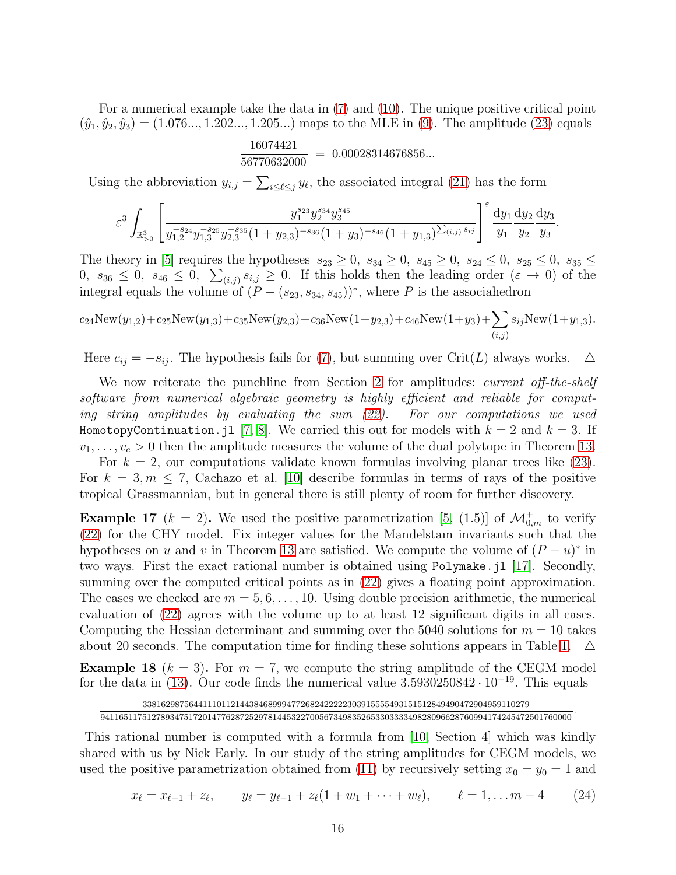For a numerical example take the data in [\(7\)](#page-3-0) and [\(10\)](#page-3-1). The unique positive critical point  $(\hat{y}_1, \hat{y}_2, \hat{y}_3) = (1.076..., 1.202..., 1.205...)$  maps to the MLE in [\(9\)](#page-3-3). The amplitude [\(23\)](#page-14-0) equals

$$
\frac{16074421}{56770632000} = 0.00028314676856...
$$

Using the abbreviation  $y_{i,j} = \sum_{i \leq \ell \leq j} y_{\ell}$ , the associated integral [\(21\)](#page-12-4) has the form

$$
\varepsilon^3\int_{\mathbb{R}^3_{>0}}\left[\frac{y_1^{s_{24}}y_2^{-s_{25}}y_3^{-s_{35}}(1+y_{2,3})^{-s_{36}}(1+y_3)^{-s_{46}}(1+y_{1,3})^{\sum_{(i,j)}s_{ij}}}{y_1^{-s_{24}}y_2^{-s_{25}}y_3^{-s_{35}}(1+y_{2,3})^{-s_{36}}(1+y_{3})^{\sum_{(i,j)}s_{ij}}}\right]^{\varepsilon}\frac{\mathrm{d}y_1}{y_1}\frac{\mathrm{d}y_2}{y_2}\frac{\mathrm{d}y_3}{y_3}.
$$

The theory in [\[5\]](#page-16-7) requires the hypotheses  $s_{23} \ge 0$ ,  $s_{34} \ge 0$ ,  $s_{45} \ge 0$ ,  $s_{24} \le 0$ ,  $s_{25} \le 0$ ,  $s_{35} \le$  $0, s_{36} \leq 0, s_{46} \leq 0, \sum_{(i,j)} s_{i,j} \geq 0$ . If this holds then the leading order  $(\varepsilon \to 0)$  of the integral equals the volume of  $(P - (s_{23}, s_{34}, s_{45}))^*$ , where P is the associahedron

$$
c_{24}New(y_{1,2}) + c_{25}New(y_{1,3}) + c_{35}New(y_{2,3}) + c_{36}New(1+y_{2,3}) + c_{46}New(1+y_3) + \sum_{(i,j)} s_{ij}New(1+y_{1,3}).
$$

Here  $c_{ij} = -s_{ij}$ . The hypothesis fails for [\(7\)](#page-3-0), but summing over Crit(L) always works.  $\Delta$ 

We now reiterate the punchline from Section [2](#page-1-0) for amplitudes: *current off-the-shelf* software from numerical algebraic geometry is highly efficient and reliable for computing string amplitudes by evaluating the sum [\(22\)](#page-13-1). For our computations we used HomotopyContinuation.jl [\[7,](#page-16-3) [8\]](#page-16-4). We carried this out for models with  $k = 2$  and  $k = 3$ . If  $v_1, \ldots, v_e > 0$  then the amplitude measures the volume of the dual polytope in Theorem [13.](#page-13-0)

For  $k = 2$ , our computations validate known formulas involving planar trees like  $(23)$ . For  $k = 3, m \le 7$ , Cachazo et al. [\[10\]](#page-16-2) describe formulas in terms of rays of the positive tropical Grassmannian, but in general there is still plenty of room for further discovery.

**Example 17** ( $k = 2$ ). We used the positive parametrization [\[5,](#page-16-7) (1.5)] of  $\mathcal{M}_{0,m}^{+}$  to verify [\(22\)](#page-13-1) for the CHY model. Fix integer values for the Mandelstam invariants such that the hypotheses on u and v in Theorem [13](#page-13-0) are satisfied. We compute the volume of  $(P - u)^*$  in two ways. First the exact rational number is obtained using Polymake.jl [\[17\]](#page-17-15). Secondly, summing over the computed critical points as in  $(22)$  gives a floating point approximation. The cases we checked are  $m = 5, 6, \ldots, 10$ . Using double precision arithmetic, the numerical evaluation of [\(22\)](#page-13-1) agrees with the volume up to at least 12 significant digits in all cases. Computing the Hessian determinant and summing over the 5040 solutions for  $m = 10$  takes about 20 seconds. The computation time for finding these solutions appears in Table [1.](#page-4-0)  $\Delta$ 

**Example 18**  $(k = 3)$ . For  $m = 7$ , we compute the string amplitude of the CEGM model for the data in [\(13\)](#page-8-2). Our code finds the numerical value  $3.5930250842 \cdot 10^{-19}$ . This equals

33816298756441110112144384689994772682422222303915555493151512849490472904959110279 94116511751278934751720147762872529781445322700567349835265330333349828096628760994174245472501760000

This rational number is computed with a formula from [\[10,](#page-16-2) Section 4] which was kindly shared with us by Nick Early. In our study of the string amplitudes for CEGM models, we used the positive parametrization obtained from [\(11\)](#page-7-2) by recursively setting  $x_0 = y_0 = 1$  and

<span id="page-15-0"></span>
$$
x_{\ell} = x_{\ell-1} + z_{\ell}, \qquad y_{\ell} = y_{\ell-1} + z_{\ell}(1+w_1+\cdots+w_{\ell}), \qquad \ell = 1, \ldots m-4 \qquad (24)
$$

.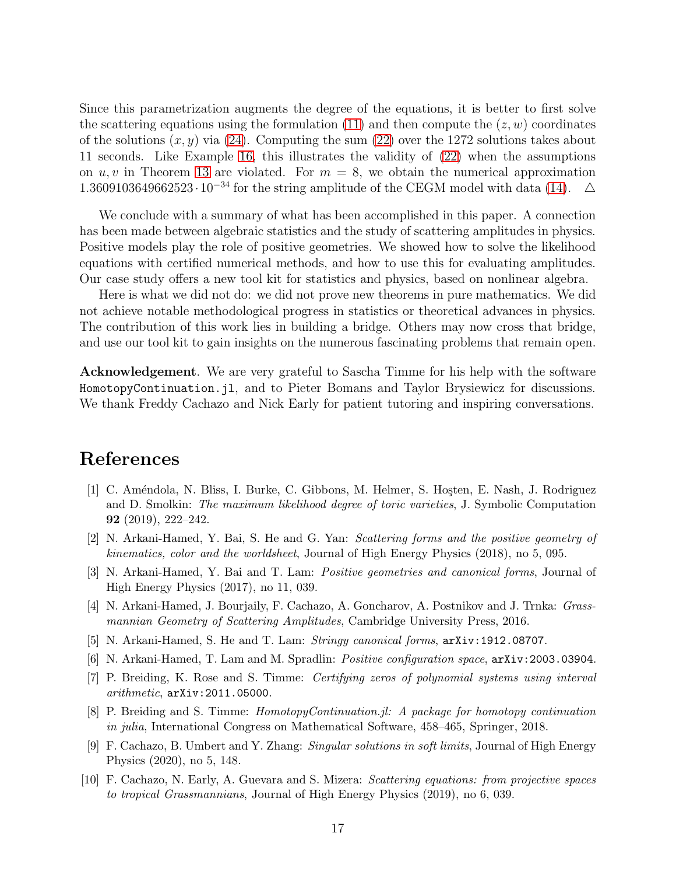Since this parametrization augments the degree of the equations, it is better to first solve the scattering equations using the formulation [\(11\)](#page-7-2) and then compute the  $(z, w)$  coordinates of the solutions  $(x, y)$  via [\(24\)](#page-15-0). Computing the sum [\(22\)](#page-13-1) over the 1272 solutions takes about 11 seconds. Like Example [16,](#page-14-1) this illustrates the validity of [\(22\)](#page-13-1) when the assumptions on  $u, v$  in Theorem [13](#page-13-0) are violated. For  $m = 8$ , we obtain the numerical approximation 1.3609103649662523 $\cdot 10^{-34}$  for the string amplitude of the CEGM model with data [\(14\)](#page-8-1).  $\Delta$ 

We conclude with a summary of what has been accomplished in this paper. A connection has been made between algebraic statistics and the study of scattering amplitudes in physics. Positive models play the role of positive geometries. We showed how to solve the likelihood equations with certified numerical methods, and how to use this for evaluating amplitudes. Our case study offers a new tool kit for statistics and physics, based on nonlinear algebra.

Here is what we did not do: we did not prove new theorems in pure mathematics. We did not achieve notable methodological progress in statistics or theoretical advances in physics. The contribution of this work lies in building a bridge. Others may now cross that bridge, and use our tool kit to gain insights on the numerous fascinating problems that remain open.

Acknowledgement. We are very grateful to Sascha Timme for his help with the software HomotopyContinuation.jl, and to Pieter Bomans and Taylor Brysiewicz for discussions. We thank Freddy Cachazo and Nick Early for patient tutoring and inspiring conversations.

## <span id="page-16-9"></span>References

- [1] C. Améndola, N. Bliss, I. Burke, C. Gibbons, M. Helmer, S. Hoşten, E. Nash, J. Rodriguez and D. Smolkin: *The maximum likelihood degree of toric varieties*, J. Symbolic Computation 92 (2019), 222–242.
- <span id="page-16-5"></span><span id="page-16-0"></span>[2] N. Arkani-Hamed, Y. Bai, S. He and G. Yan: *Scattering forms and the positive geometry of kinematics, color and the worldsheet*, Journal of High Energy Physics (2018), no 5, 095.
- <span id="page-16-1"></span>[3] N. Arkani-Hamed, Y. Bai and T. Lam: *Positive geometries and canonical forms*, Journal of High Energy Physics (2017), no 11, 039.
- <span id="page-16-7"></span>[4] N. Arkani-Hamed, J. Bourjaily, F. Cachazo, A. Goncharov, A. Postnikov and J. Trnka: *Grassmannian Geometry of Scattering Amplitudes*, Cambridge University Press, 2016.
- <span id="page-16-8"></span>[5] N. Arkani-Hamed, S. He and T. Lam: *Stringy canonical forms*, arXiv:1912.08707.
- <span id="page-16-3"></span>[6] N. Arkani-Hamed, T. Lam and M. Spradlin: *Positive configuration space*, arXiv:2003.03904.
- <span id="page-16-4"></span>[7] P. Breiding, K. Rose and S. Timme: *Certifying zeros of polynomial systems using interval arithmetic*, arXiv:2011.05000.
- <span id="page-16-6"></span>[8] P. Breiding and S. Timme: *HomotopyContinuation.jl: A package for homotopy continuation in julia*, International Congress on Mathematical Software, 458–465, Springer, 2018.
- <span id="page-16-2"></span>[9] F. Cachazo, B. Umbert and Y. Zhang: *Singular solutions in soft limits*, Journal of High Energy Physics (2020), no 5, 148.
- [10] F. Cachazo, N. Early, A. Guevara and S. Mizera: *Scattering equations: from projective spaces to tropical Grassmannians*, Journal of High Energy Physics (2019), no 6, 039.